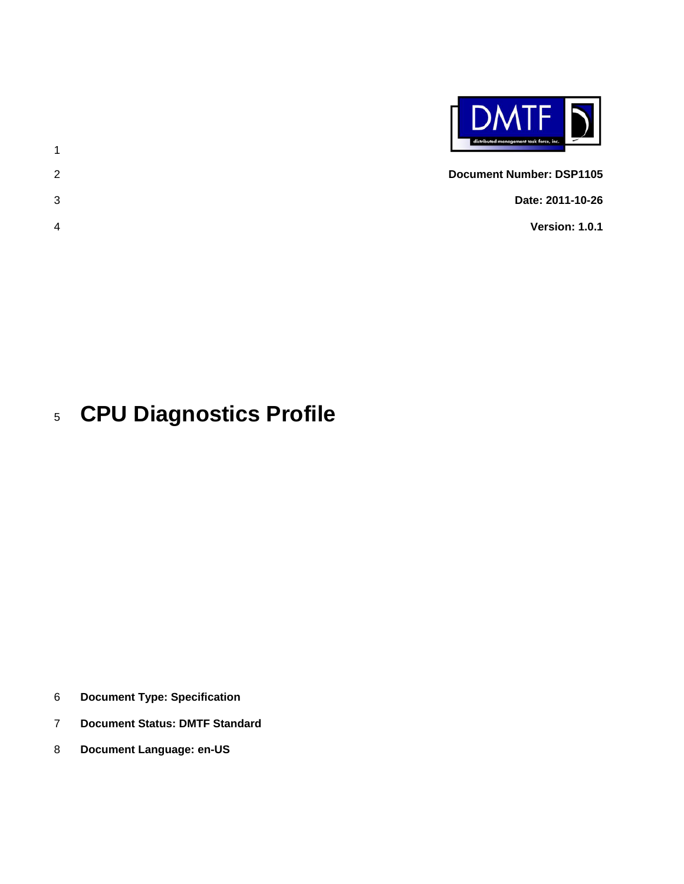

- 2 3 **Document Number: DSP1105 Date: 2011-10-26**
- 4 **Version: 1.0.1**

#### 5 **CPU Diagnostics Profile**

<span id="page-0-0"></span>1

- 6 **Document Type: Specification**
- 7 **Document Status: DMTF Standard**
- 8 **Document Language: en-US**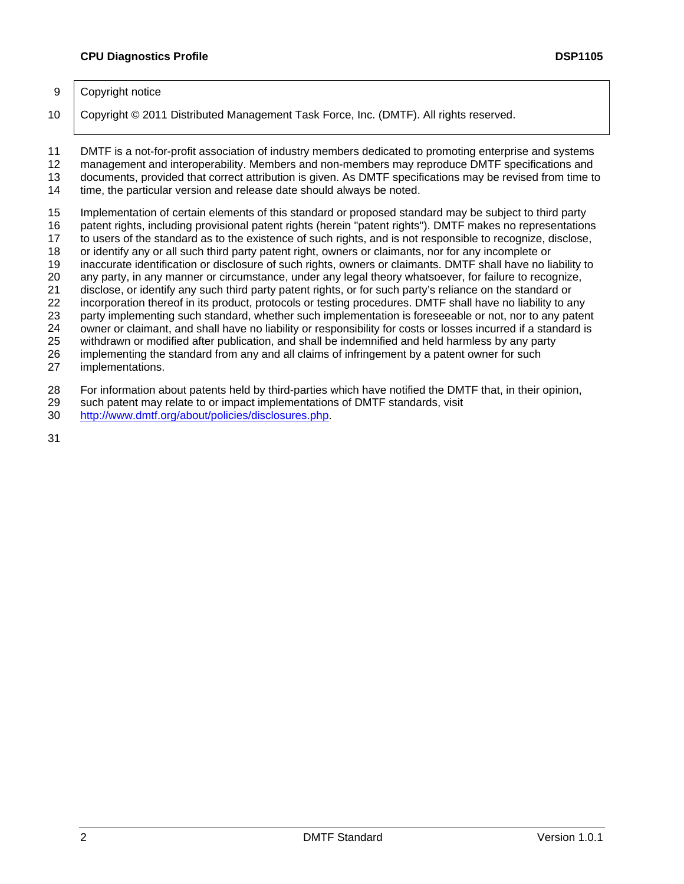#### 9 Copyright notice

10 | Copyright © 2011 Distributed Management Task Force, Inc. (DMTF). All rights reserved.

11 12 DMTF is a not-for-profit association of industry members dedicated to promoting enterprise and systems management and interoperability. Members and non-members may reproduce DMTF specifications and

13 documents, provided that correct attribution is given. As DMTF specifications may be revised from time to

14 time, the particular version and release date should always be noted.

15 Implementation of certain elements of this standard or proposed standard may be subject to third party

16 patent rights, including provisional patent rights (herein "patent rights"). DMTF makes no representations

17 to users of the standard as to the existence of such rights, and is not responsible to recognize, disclose,

18 19 or identify any or all such third party patent right, owners or claimants, nor for any incomplete or inaccurate identification or disclosure of such rights, owners or claimants. DMTF shall have no liability to

20 any party, in any manner or circumstance, under any legal theory whatsoever, for failure to recognize,

21 disclose, or identify any such third party patent rights, or for such party's reliance on the standard or

22 incorporation thereof in its product, protocols or testing procedures. DMTF shall have no liability to any

23 party implementing such standard, whether such implementation is foreseeable or not, nor to any patent

24 owner or claimant, and shall have no liability or responsibility for costs or losses incurred if a standard is

25 withdrawn or modified after publication, and shall be indemnified and held harmless by any party

26 implementing the standard from any and all claims of infringement by a patent owner for such

27 implementations.

28 For information about patents held by third-parties which have notified the DMTF that, in their opinion,

- 29 such patent may relate to or impact implementations of DMTF standards, visit
- 30 <http://www.dmtf.org/about/policies/disclosures.php>.

31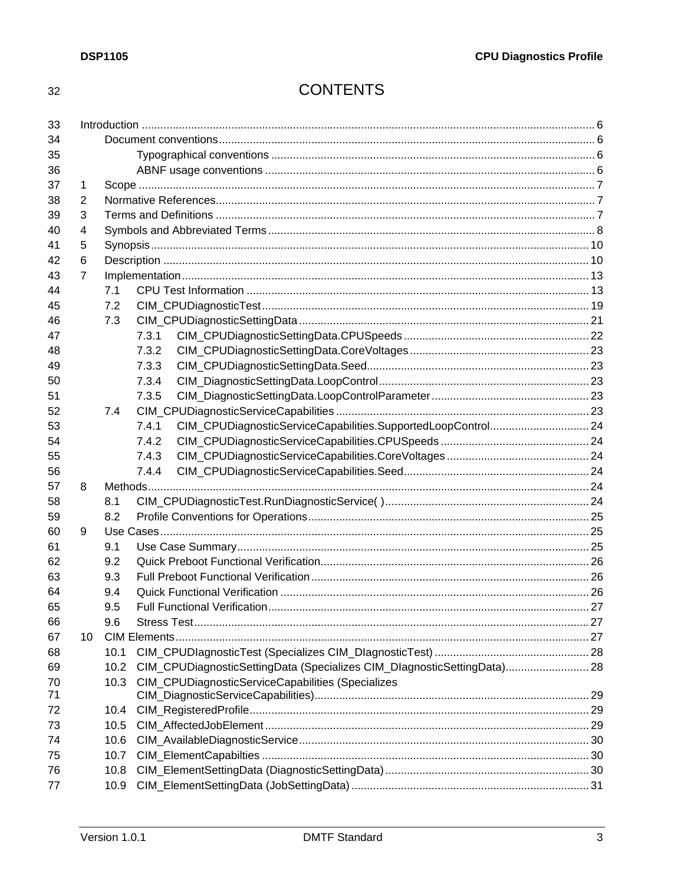32

# **CONTENTS**

| 33       |                |                   |                                                                         |  |
|----------|----------------|-------------------|-------------------------------------------------------------------------|--|
| 34       |                |                   |                                                                         |  |
| 35       |                |                   |                                                                         |  |
| 36       |                |                   |                                                                         |  |
| 37       | 1              |                   |                                                                         |  |
| 38       | 2              |                   |                                                                         |  |
| 39       | 3              |                   |                                                                         |  |
| 40       | 4              |                   |                                                                         |  |
| 41       | 5              |                   |                                                                         |  |
| 42       | 6              |                   |                                                                         |  |
| 43       | $\overline{7}$ |                   |                                                                         |  |
| 44       |                | 7.1               |                                                                         |  |
| 45       |                | 7.2               |                                                                         |  |
| 46       |                | 7.3               |                                                                         |  |
| 47       |                |                   | 7.3.1                                                                   |  |
| 48       |                |                   | 7.3.2                                                                   |  |
| 49       |                |                   | 7.3.3                                                                   |  |
| 50       |                |                   | 7.3.4                                                                   |  |
| 51       |                |                   | 7.3.5                                                                   |  |
| 52       |                | 7.4               |                                                                         |  |
| 53       |                |                   | CIM_CPUDiagnosticServiceCapabilities.SupportedLoopControl 24<br>7.4.1   |  |
| 54       |                |                   | 7.4.2                                                                   |  |
| 55       |                |                   | 7.4.3                                                                   |  |
| 56       |                |                   | 7.4.4                                                                   |  |
| 57       | 8              |                   |                                                                         |  |
| 58       |                | 8.1               |                                                                         |  |
| 59       |                | 8.2               |                                                                         |  |
| 60       | 9              |                   |                                                                         |  |
| 61       |                | 9.1               |                                                                         |  |
| 62       |                | 9.2               |                                                                         |  |
| 63       |                | 9.3               |                                                                         |  |
| 64       |                | 9.4               |                                                                         |  |
| 65       |                | 9.5               |                                                                         |  |
| 66       |                | 9.6               |                                                                         |  |
| 67       | 10             |                   |                                                                         |  |
| 68       |                | 10.1              |                                                                         |  |
| 69       |                | 10.2              | CIM_CPUDiagnosticSettingData (Specializes CIM_DIagnosticSettingData) 28 |  |
| 70<br>71 |                | 10.3              | CIM CPUDiagnosticServiceCapabilities (Specializes                       |  |
| 72       |                | 10.4              |                                                                         |  |
| 73       |                | 10.5              |                                                                         |  |
| 74       |                | 10.6              |                                                                         |  |
| 75       |                | 10.7              |                                                                         |  |
| 76       |                | 10.8              |                                                                         |  |
| 77       |                | 10.9 <sub>2</sub> |                                                                         |  |
|          |                |                   |                                                                         |  |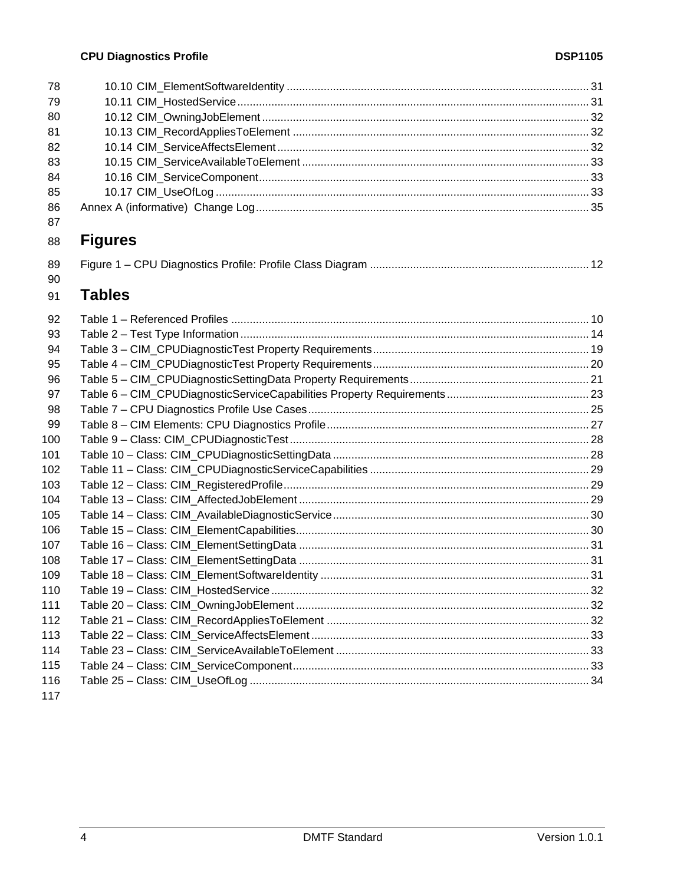| 78  |                |  |
|-----|----------------|--|
| 79  |                |  |
| 80  |                |  |
| 81  |                |  |
| 82  |                |  |
| 83  |                |  |
| 84  |                |  |
| 85  |                |  |
| 86  |                |  |
| 87  |                |  |
| 88  | <b>Figures</b> |  |
| 89  |                |  |
| 90  |                |  |
| 91  | <b>Tables</b>  |  |
| 92  |                |  |
| 93  |                |  |
| 94  |                |  |
| 95  |                |  |
| 96  |                |  |
| 97  |                |  |
| 98  |                |  |
| 99  |                |  |
| 100 |                |  |
| 101 |                |  |
| 102 |                |  |
| 103 |                |  |
| 104 |                |  |
| 105 |                |  |
| 106 |                |  |
| 107 |                |  |
| 108 |                |  |
| 109 |                |  |
| 110 |                |  |
| 111 |                |  |
| 112 |                |  |
| 113 |                |  |
| 114 |                |  |
| 115 |                |  |
| 116 |                |  |
| 117 |                |  |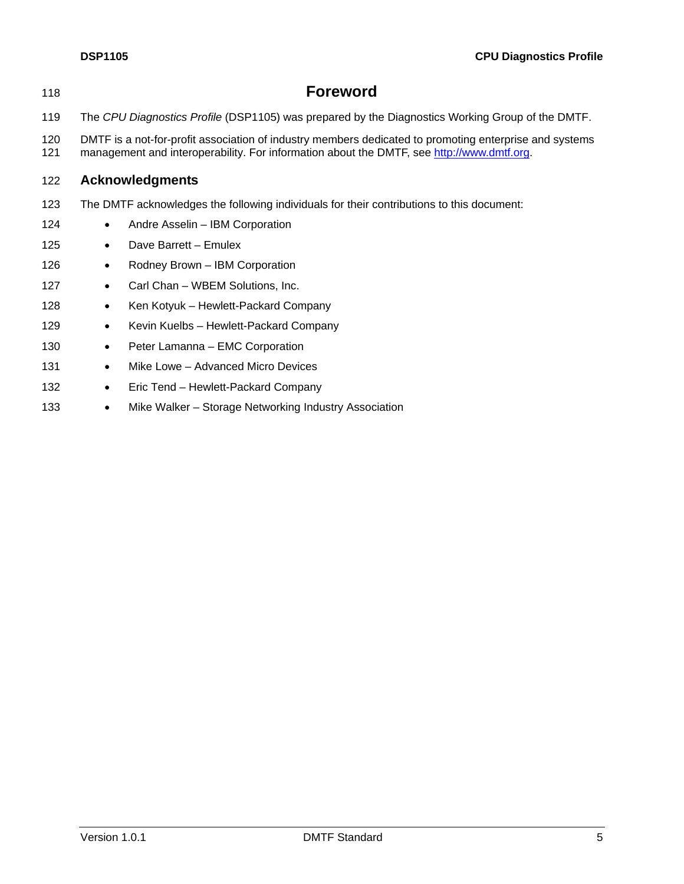| 118        | <b>Foreword</b>                                                                                                                                                                                     |  |  |  |
|------------|-----------------------------------------------------------------------------------------------------------------------------------------------------------------------------------------------------|--|--|--|
| 119        | The CPU Diagnostics Profile (DSP1105) was prepared by the Diagnostics Working Group of the DMTF.                                                                                                    |  |  |  |
| 120<br>121 | DMTF is a not-for-profit association of industry members dedicated to promoting enterprise and systems<br>management and interoperability. For information about the DMTF, see http://www.dmtf.org. |  |  |  |
| 122        | <b>Acknowledgments</b>                                                                                                                                                                              |  |  |  |
| 123        | The DMTF acknowledges the following individuals for their contributions to this document:                                                                                                           |  |  |  |
| 124        | Andre Asselin - IBM Corporation<br>$\bullet$                                                                                                                                                        |  |  |  |
| 125        | Dave Barrett - Emulex<br>$\bullet$                                                                                                                                                                  |  |  |  |
| 126        | Rodney Brown - IBM Corporation<br>$\bullet$                                                                                                                                                         |  |  |  |
| 127        | Carl Chan - WBEM Solutions, Inc.<br>$\bullet$                                                                                                                                                       |  |  |  |
| 128        | Ken Kotyuk – Hewlett-Packard Company<br>$\bullet$                                                                                                                                                   |  |  |  |
| 129        | Kevin Kuelbs - Hewlett-Packard Company<br>$\bullet$                                                                                                                                                 |  |  |  |
| 130        | Peter Lamanna - EMC Corporation<br>$\bullet$                                                                                                                                                        |  |  |  |
| 131        | Mike Lowe - Advanced Micro Devices<br>$\bullet$                                                                                                                                                     |  |  |  |
| 132        | Eric Tend - Hewlett-Packard Company<br>$\bullet$                                                                                                                                                    |  |  |  |
| 133        | Mike Walker – Storage Networking Industry Association<br>$\bullet$                                                                                                                                  |  |  |  |
|            |                                                                                                                                                                                                     |  |  |  |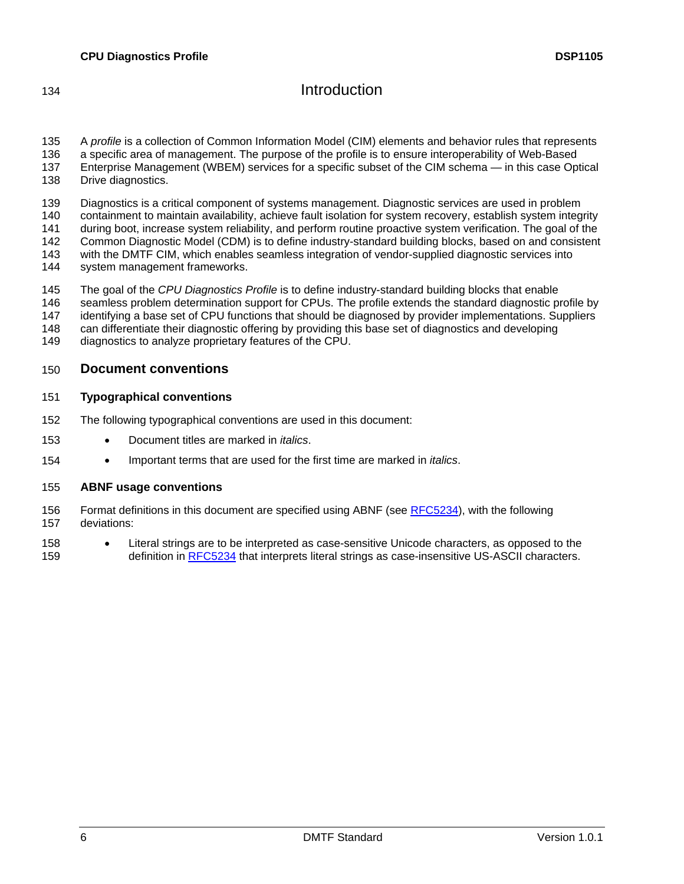# <span id="page-5-0"></span>134 Introduction

135 136 137 A *profile* is a collection of Common Information Model (CIM) elements and behavior rules that represents a specific area of management. The purpose of the profile is to ensure interoperability of Web-Based Enterprise Management (WBEM) services for a specific subset of the CIM schema — in this case Optical

138 Drive diagnostics.

139 Diagnostics is a critical component of systems management. Diagnostic services are used in problem

140 containment to maintain availability, achieve fault isolation for system recovery, establish system integrity

141 during boot, increase system reliability, and perform routine proactive system verification. The goal of the

142 Common Diagnostic Model (CDM) is to define industry-standard building blocks, based on and consistent

- 143 144 with the DMTF CIM, which enables seamless integration of vendor-supplied diagnostic services into system management frameworks.
- 145 The goal of the *CPU Diagnostics Profile* is to define industry-standard building blocks that enable

146 seamless problem determination support for CPUs. The profile extends the standard diagnostic profile by

147 identifying a base set of CPU functions that should be diagnosed by provider implementations. Suppliers

148 can differentiate their diagnostic offering by providing this base set of diagnostics and developing

149 diagnostics to analyze proprietary features of the CPU.

#### 150 **Document conventions**

#### 151 **Typographical conventions**

- 152 The following typographical conventions are used in this document:
- 153 • Document titles are marked in *italics*.
- 154 • Important terms that are used for the first time are marked in *italics*.

#### 155 **ABNF usage conventions**

Format definitions in this document are specified using ABNF (see [RFC5234\)](#page-6-0), with the following deviations: 156 157

158 • Literal strings are to be interpreted as case-sensitive Unicode characters, as opposed to the 159 definition in [RFC5234](#page-6-0) that interprets literal strings as case-insensitive US-ASCII characters.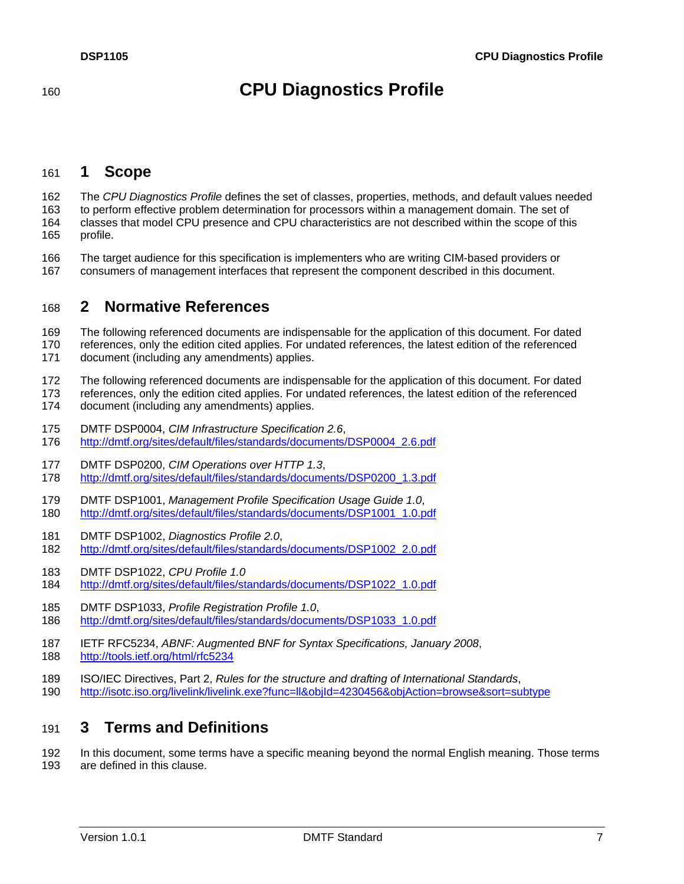# <span id="page-6-0"></span><sup>160</sup>**CPU Diagnostics Profile**

#### 161 **1 Scope**

162 The *CPU Diagnostics Profile* defines the set of classes, properties, methods, and default values needed

163 164 to perform effective problem determination for processors within a management domain. The set of classes that model CPU presence and CPU characteristics are not described within the scope of this

- 165 profile.
- 166 The target audience for this specification is implementers who are writing CIM-based providers or consumers of management interfaces that represent the component described in this document.

# 168 **2 Normative References**

169 170 171 The following referenced documents are indispensable for the application of this document. For dated references, only the edition cited applies. For undated references, the latest edition of the referenced document (including any amendments) applies.

172 173 174 The following referenced documents are indispensable for the application of this document. For dated references, only the edition cited applies. For undated references, the latest edition of the referenced document (including any amendments) applies.

- 175 DMTF DSP0004, *CIM Infrastructure Specification 2.6*,
- 176 [http://dmtf.org/sites/default/files/standards/documents/DSP0004\\_2.6.pdf](http://dmtf.org/sites/default/files/standards/documents/DSP0004_2.6.pdf)
- 177 DMTF DSP0200, *CIM Operations over HTTP 1.3*,
- 178 [http://dmtf.org/sites/default/files/standards/documents/DSP0200\\_1.3.pdf](http://dmtf.org/sites/default/files/standards/documents/DSP0200_1.3.pdf)
- 179 DMTF DSP1001, *Management Profile Specification Usage Guide 1.0*,
- 180 [http://dmtf.org/sites/default/files/standards/documents/DSP1001\\_1.0.pdf](http://dmtf.org/sites/default/files/standards/documents/DSP1001_1.0.pdf)
- 181 DMTF DSP1002, *Diagnostics Profile 2.0*,
- 182 [http://dmtf.org/sites/default/files/standards/documents/DSP1002\\_2.0.pdf](http://dmtf.org/sites/default/files/standards/documents/DSP1002_2.0.0.pdf)
- 183 DMTF DSP1022, *CPU Profile 1.0*  184 [http://dmtf.org/sites/default/files/standards/documents/DSP1022\\_1.0.pdf](http://dmtf.org/sites/default/files/standards/documents/DSP1022_1.0.1.pdf)
- 185 DMTF DSP1033, *Profile Registration Profile 1.0*, 186 [http://dmtf.org/sites/default/files/standards/documents/DSP1033\\_1.0.pdf](http://dmtf.org/sites/default/files/standards/documents/DSP1033_1.0.pdf)
- 187 IETF RFC5234, *ABNF: Augmented BNF for Syntax Specifications, January 2008*, 188 <http://tools.ietf.org/html/rfc5234>
- 189 ISO/IEC Directives, Part 2, *Rules for the structure and drafting of International Standards*, 190 <http://isotc.iso.org/livelink/livelink.exe?func=ll&objId=4230456&objAction=browse&sort=subtype>

## 191 **3 Terms and Definitions**

192 193 In this document, some terms have a specific meaning beyond the normal English meaning. Those terms are defined in this clause.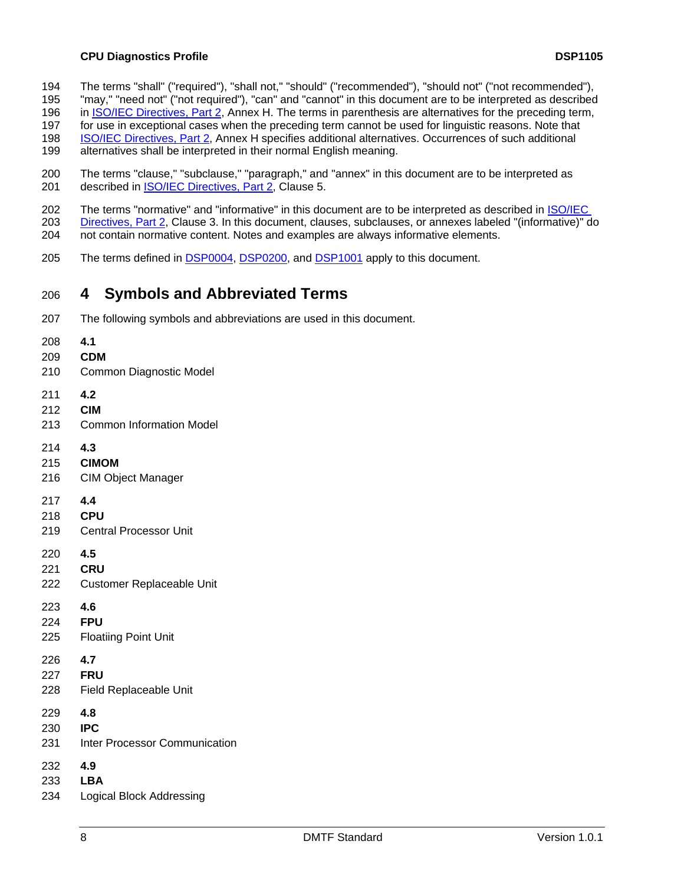#### **CPU Diagnostics Profile DSP1105 DSP1105**

- <span id="page-7-0"></span>The terms "shall" ("required"), "shall not," "should" ("recommended"), "should not" ("not recommended"), 194
- "may," "need not" ("not required"), "can" and "cannot" in this document are to be interpreted as described 195
- in **[ISO/IEC Directives, Part 2](#page-0-0), Annex H. The terms in parenthesis are alternatives for the preceding term,** for use in exceptional cases when the preceding term cannot be used for linguistic reasons. Note that 196 197
- [ISO/IEC Directives, Part 2,](#page-0-0) Annex H specifies additional alternatives. Occurrences of such additional 198
- alternatives shall be interpreted in their normal English meaning. 199
- 200 The terms "clause," "subclause," "paragraph," and "annex" in this document are to be interpreted as 201 described in [ISO/IEC Directives, Part 2](#page-0-0), Clause 5.
- 202 The terms "normative" and "informative" in this document are to be interpreted as described in [ISO/IEC](#page-0-0)
- [Directives, Part 2](#page-0-0), Clause 3. In this document, clauses, subclauses, or annexes labeled "(informative)" do 203
- not contain normative content. Notes and examples are always informative elements. 204
- 205 The terms defined in [DSP0004, DSP0200](#page-6-0), and [DSP1001](#page-6-0) apply to this document.

# 206 **4 Symbols and Abbreviated Terms**

- 207 The following symbols and abbreviations are used in this document.
- 208 **4.1**
- 209 **CDM**
- 210 Common Diagnostic Model
- 211 **4.2**
- 212 **CIM**
- 213 Common Information Model
- 214 **4.3**
- 215 **CIMOM**
- 216 CIM Object Manager
- 217 **4.4**
- 218 **CPU**
- 219 Central Processor Unit
- 220 **4.5**
- 221 **CRU**
- 222 Customer Replaceable Unit
- 223 **4.6**
- 224 **FPU**
- 225 Floatiing Point Unit
- 226 **4.7**
- 227 **FRU**
- 228 Field Replaceable Unit
- 229 **4.8**
- 230 **IPC**
- 231 Inter Processor Communication
- 232 **4.9**
- 233 **LBA**
- 234 Logical Block Addressing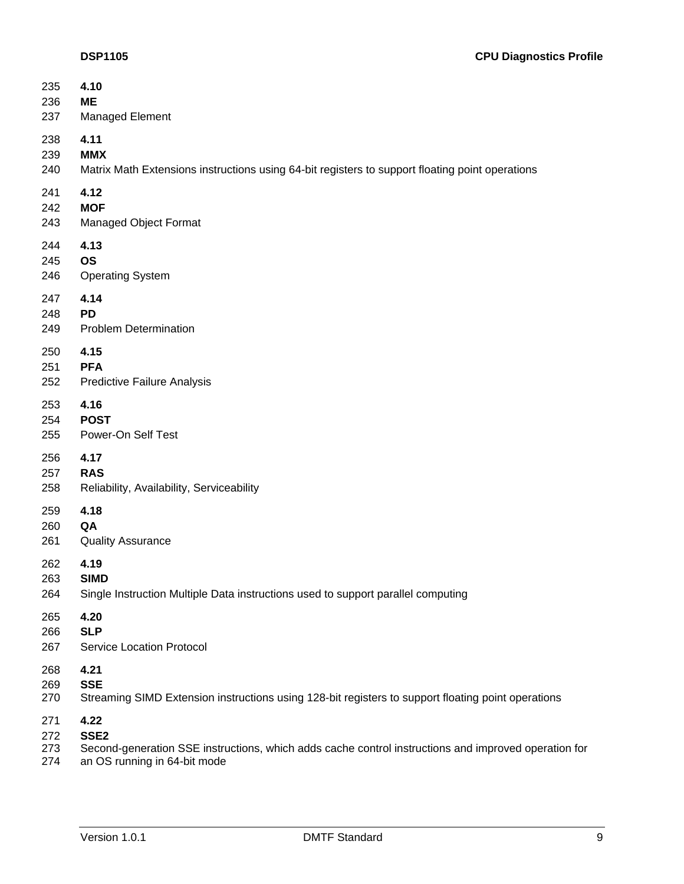| 235 | 4.10                                                                                                 |
|-----|------------------------------------------------------------------------------------------------------|
| 236 | <b>ME</b>                                                                                            |
| 237 | Managed Element                                                                                      |
| 238 | 4.11                                                                                                 |
| 239 | <b>MMX</b>                                                                                           |
| 240 | Matrix Math Extensions instructions using 64-bit registers to support floating point operations      |
| 241 | 4.12                                                                                                 |
| 242 | <b>MOF</b>                                                                                           |
| 243 | Managed Object Format                                                                                |
| 244 | 4.13                                                                                                 |
| 245 | <b>OS</b>                                                                                            |
| 246 | <b>Operating System</b>                                                                              |
| 247 | 4.14                                                                                                 |
| 248 | <b>PD</b>                                                                                            |
| 249 | <b>Problem Determination</b>                                                                         |
| 250 | 4.15                                                                                                 |
| 251 | <b>PFA</b>                                                                                           |
| 252 | <b>Predictive Failure Analysis</b>                                                                   |
| 253 | 4.16                                                                                                 |
| 254 | <b>POST</b>                                                                                          |
| 255 | Power-On Self Test                                                                                   |
| 256 | 4.17                                                                                                 |
| 257 | <b>RAS</b>                                                                                           |
| 258 | Reliability, Availability, Serviceability                                                            |
| 259 | 4.18                                                                                                 |
| 260 | QA                                                                                                   |
| 261 | <b>Quality Assurance</b>                                                                             |
| 262 | 4.19                                                                                                 |
| 263 | <b>SIMD</b>                                                                                          |
| 264 | Single Instruction Multiple Data instructions used to support parallel computing                     |
| 265 | 4.20                                                                                                 |
| 266 | <b>SLP</b>                                                                                           |
| 267 | <b>Service Location Protocol</b>                                                                     |
| 268 | 4.21                                                                                                 |
| 269 | <b>SSE</b>                                                                                           |
| 270 | Streaming SIMD Extension instructions using 128-bit registers to support floating point operations   |
| 271 | 4.22                                                                                                 |
| 272 | SSE <sub>2</sub>                                                                                     |
| 273 | Second-generation SSE instructions, which adds cache control instructions and improved operation for |
| 274 | an OS running in 64-bit mode                                                                         |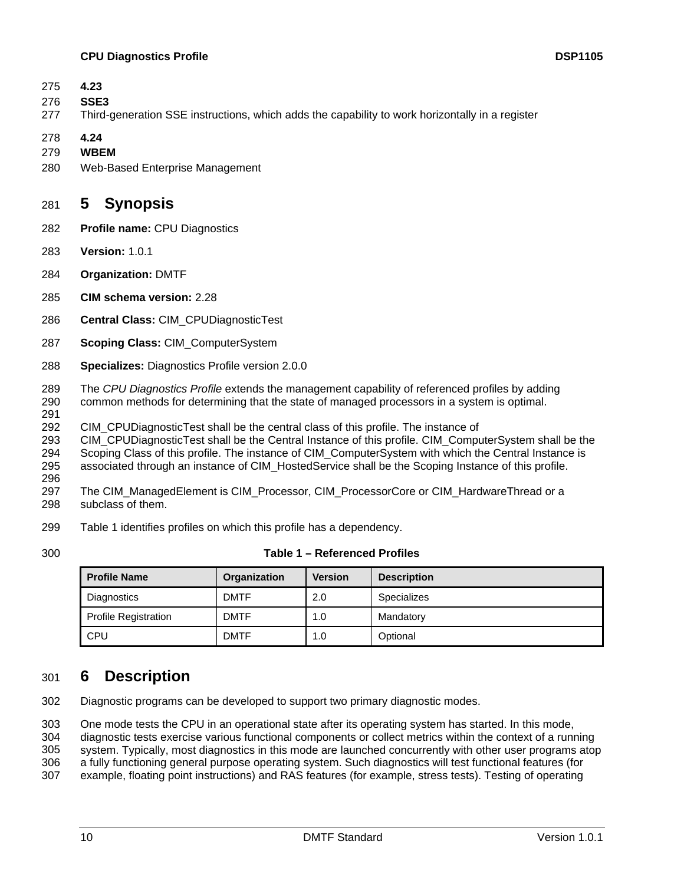- <span id="page-9-0"></span>275 **4.23**
- 276 **SSE3**
- 277 Third-generation SSE instructions, which adds the capability to work horizontally in a register
- 278 **4.24**
- 279 **WBEM**
- 280 Web-Based Enterprise Management

#### <span id="page-9-2"></span>281 **5 Synopsis**

- 282 **Profile name:** CPU Diagnostics
- 283 **Version:** 1.0.1
- 284 **Organization:** DMTF
- 285 **CIM schema version:** 2.28
- 286 **Central Class:** CIM\_CPUDiagnosticTest
- 287 **Scoping Class:** CIM\_ComputerSystem
- 288 **Specializes:** Diagnostics Profile version 2.0.0
- 289 290 The *CPU Diagnostics Profile* extends the management capability of referenced profiles by adding common methods for determining that the state of managed processors in a system is optimal.
- 292 CIM\_CPUDiagnosticTest shall be the central class of this profile. The instance of

[Table 1](#page-9-1) identifies profiles on which this profile has a dependency.

293 294 295 CIM\_CPUDiagnosticTest shall be the Central Instance of this profile. CIM\_ComputerSystem shall be the Scoping Class of this profile. The instance of CIM\_ComputerSystem with which the Central Instance is associated through an instance of CIM\_HostedService shall be the Scoping Instance of this profile.

- 296 297 298 The CIM\_ManagedElement is CIM\_Processor, CIM\_ProcessorCore or CIM\_HardwareThread or a subclass of them.
- <span id="page-9-1"></span>300

299

291

**Table 1 – Referenced Profiles** 

| <b>Profile Name</b>         | Organization | <b>Version</b> | <b>Description</b> |
|-----------------------------|--------------|----------------|--------------------|
| Diagnostics                 | <b>DMTF</b>  | 2.0            | Specializes        |
| <b>Profile Registration</b> | <b>DMTF</b>  | 1.0            | Mandatory          |
| CPU                         | <b>DMTF</b>  | 1.0            | Optional           |

## 301 **6 Description**

302 Diagnostic programs can be developed to support two primary diagnostic modes.

303 One mode tests the CPU in an operational state after its operating system has started. In this mode,

304 diagnostic tests exercise various functional components or collect metrics within the context of a running

305 system. Typically, most diagnostics in this mode are launched concurrently with other user programs atop

306 a fully functioning general purpose operating system. Such diagnostics will test functional features (for

307 example, floating point instructions) and RAS features (for example, stress tests). Testing of operating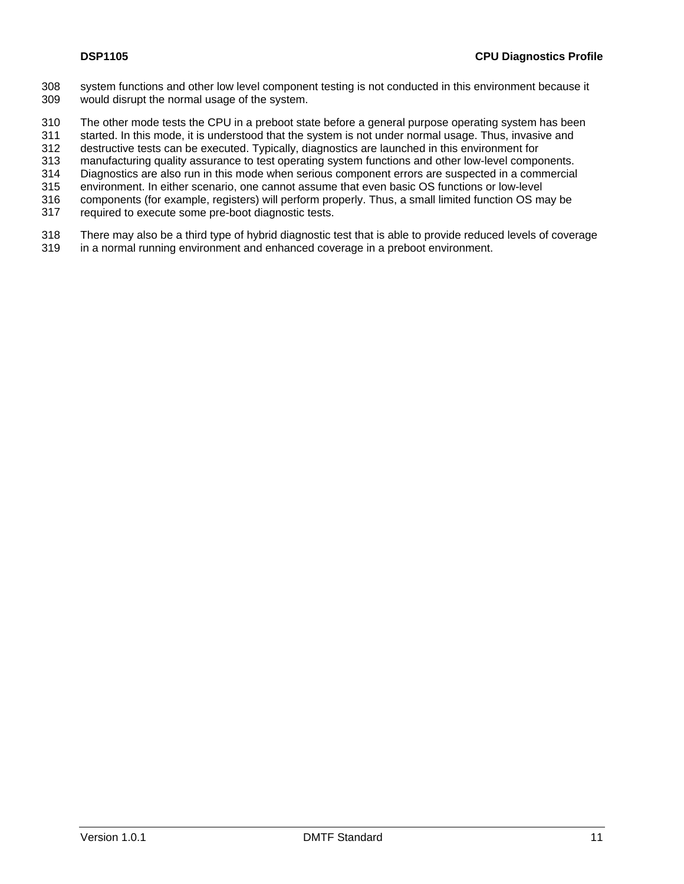- system functions and other low level component testing is not conducted in this environment because it would disrupt the normal usage of the system. 308 309
- 310 The other mode tests the CPU in a preboot state before a general purpose operating system has been
- 311 started. In this mode, it is understood that the system is not under normal usage. Thus, invasive and
- 312 destructive tests can be executed. Typically, diagnostics are launched in this environment for
- 313 314 manufacturing quality assurance to test operating system functions and other low-level components.
- 315 Diagnostics are also run in this mode when serious component errors are suspected in a commercial environment. In either scenario, one cannot assume that even basic OS functions or low-level
- 316 components (for example, registers) will perform properly. Thus, a small limited function OS may be
- 
- 317 required to execute some pre-boot diagnostic tests.
- 318 319 There may also be a third type of hybrid diagnostic test that is able to provide reduced levels of coverage in a normal running environment and enhanced coverage in a preboot environment.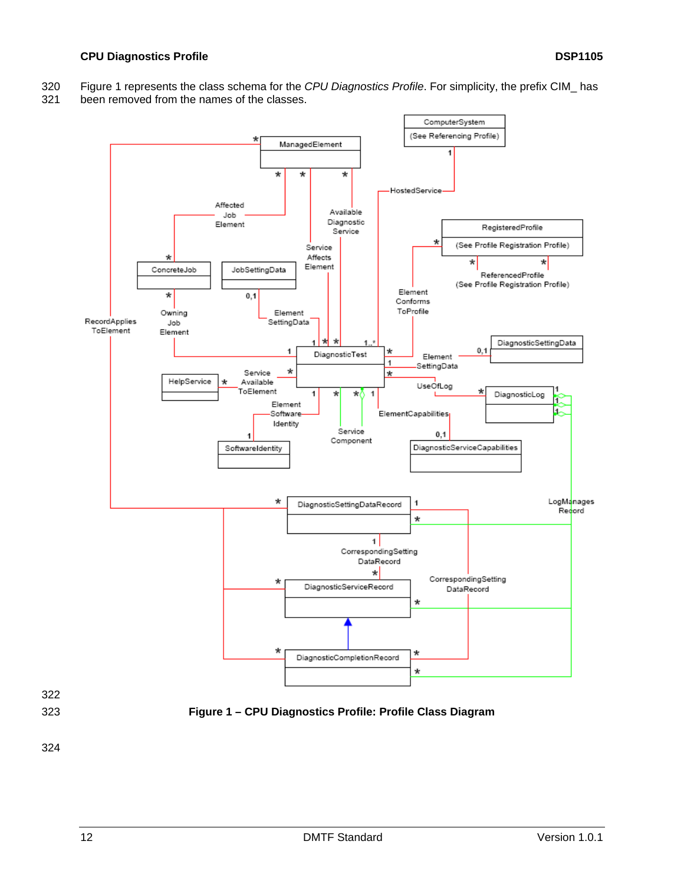#### **CPU Diagnostics Profile DSP1105 DSP1105**

<span id="page-11-0"></span>[Figure 1](#page-11-1) represents the class schema for the *CPU Diagnostics Profile*. For simplicity, the prefix CIM\_ has 320

been removed from the names of the classes. 321



<span id="page-11-1"></span>

322

324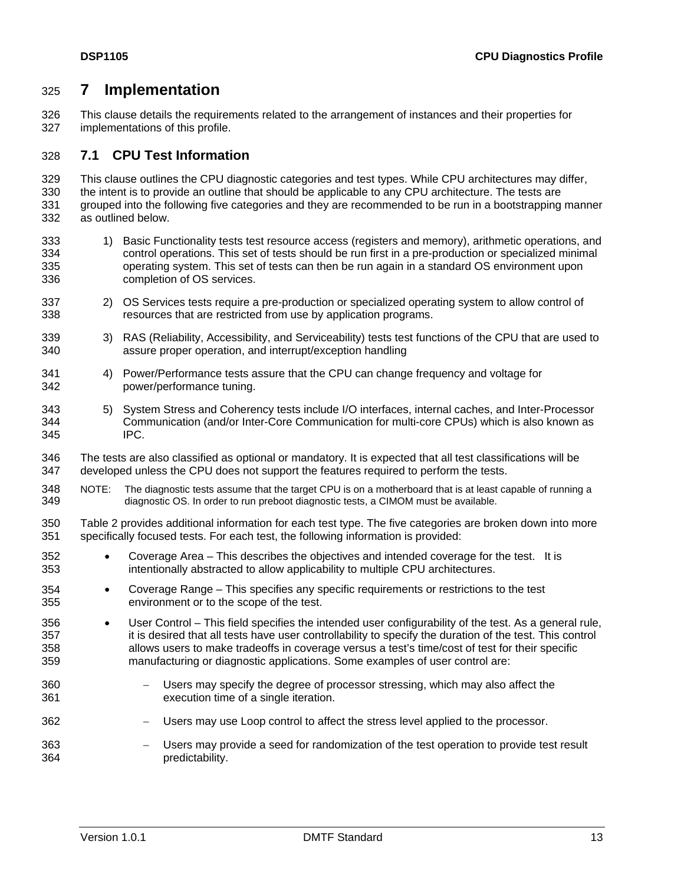#### <span id="page-12-1"></span><span id="page-12-0"></span>325 **7 Implementation**

This clause details the requirements related to the arrangement of instances and their properties for implementations of this profile. 326 327

#### 328 **7.1 CPU Test Information**

329 330 331 332 This clause outlines the CPU diagnostic categories and test types. While CPU architectures may differ, the intent is to provide an outline that should be applicable to any CPU architecture. The tests are grouped into the following five categories and they are recommended to be run in a bootstrapping manner as outlined below.

- 333 334 335 336 1) Basic Functionality tests test resource access (registers and memory), arithmetic operations, and control operations. This set of tests should be run first in a pre-production or specialized minimal operating system. This set of tests can then be run again in a standard OS environment upon completion of OS services.
- 337 338 2) OS Services tests require a pre-production or specialized operating system to allow control of resources that are restricted from use by application programs.
- 339 340 3) RAS (Reliability, Accessibility, and Serviceability) tests test functions of the CPU that are used to assure proper operation, and interrupt/exception handling
- 341 342 4) Power/Performance tests assure that the CPU can change frequency and voltage for power/performance tuning.
- 343 344 345 5) System Stress and Coherency tests include I/O interfaces, internal caches, and Inter-Processor Communication (and/or Inter-Core Communication for multi-core CPUs) which is also known as IPC.
- 346 347 The tests are also classified as optional or mandatory. It is expected that all test classifications will be developed unless the CPU does not support the features required to perform the tests.
- 348 349 NOTE: The diagnostic tests assume that the target CPU is on a motherboard that is at least capable of running a diagnostic OS. In order to run preboot diagnostic tests, a CIMOM must be available.
- 350 351 [Table 2](#page-13-1) provides additional information for each test type. The five categories are broken down into more specifically focused tests. For each test, the following information is provided:
- 352 353 • Coverage Area – This describes the objectives and intended coverage for the test. It is intentionally abstracted to allow applicability to multiple CPU architectures.
- 354 355 • Coverage Range – This specifies any specific requirements or restrictions to the test environment or to the scope of the test.
- 356 357 358 359 • User Control – This field specifies the intended user configurability of the test. As a general rule, it is desired that all tests have user controllability to specify the duration of the test. This control allows users to make tradeoffs in coverage versus a test's time/cost of test for their specific manufacturing or diagnostic applications. Some examples of user control are:
- 360 361 − Users may specify the degree of processor stressing, which may also affect the execution time of a single iteration.
- 362 Users may use Loop control to affect the stress level applied to the processor.
- 363 364 Users may provide a seed for randomization of the test operation to provide test result predictability.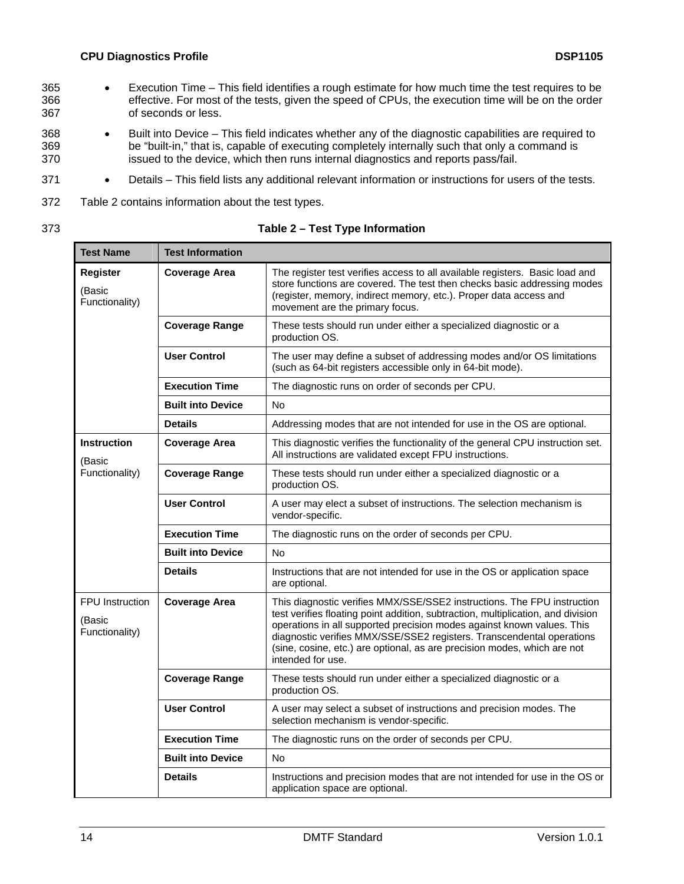- <span id="page-13-0"></span>• Execution Time – This field identifies a rough estimate for how much time the test requires to be effective. For most of the tests, given the speed of CPUs, the execution time will be on the order of seconds or less. 365 366 367
- 368 369 370 • Built into Device – This field indicates whether any of the diagnostic capabilities are required to be "built-in," that is, capable of executing completely internally such that only a command is issued to the device, which then runs internal diagnostics and reports pass/fail.
- 371 • Details – This field lists any additional relevant information or instructions for users of the tests.
- 372 [Table 2](#page-13-1) contains information about the test types.
- <span id="page-13-1"></span>373

**Table 2 – Test Type Information** 

| <b>Test Name</b>                                   | <b>Test Information</b>  |                                                                                                                                                                                                                                                                                                                                                                                                                 |  |  |  |
|----------------------------------------------------|--------------------------|-----------------------------------------------------------------------------------------------------------------------------------------------------------------------------------------------------------------------------------------------------------------------------------------------------------------------------------------------------------------------------------------------------------------|--|--|--|
| <b>Register</b><br>(Basic<br>Functionality)        | Coverage Area            | The register test verifies access to all available registers. Basic load and<br>store functions are covered. The test then checks basic addressing modes<br>(register, memory, indirect memory, etc.). Proper data access and<br>movement are the primary focus.                                                                                                                                                |  |  |  |
|                                                    | <b>Coverage Range</b>    | These tests should run under either a specialized diagnostic or a<br>production OS.                                                                                                                                                                                                                                                                                                                             |  |  |  |
|                                                    | <b>User Control</b>      | The user may define a subset of addressing modes and/or OS limitations<br>(such as 64-bit registers accessible only in 64-bit mode).                                                                                                                                                                                                                                                                            |  |  |  |
|                                                    | <b>Execution Time</b>    | The diagnostic runs on order of seconds per CPU.                                                                                                                                                                                                                                                                                                                                                                |  |  |  |
|                                                    | <b>Built into Device</b> | No                                                                                                                                                                                                                                                                                                                                                                                                              |  |  |  |
|                                                    | <b>Details</b>           | Addressing modes that are not intended for use in the OS are optional.                                                                                                                                                                                                                                                                                                                                          |  |  |  |
| <b>Instruction</b><br>(Basic                       | <b>Coverage Area</b>     | This diagnostic verifies the functionality of the general CPU instruction set.<br>All instructions are validated except FPU instructions.                                                                                                                                                                                                                                                                       |  |  |  |
| Functionality)                                     | <b>Coverage Range</b>    | These tests should run under either a specialized diagnostic or a<br>production OS.                                                                                                                                                                                                                                                                                                                             |  |  |  |
|                                                    | <b>User Control</b>      | A user may elect a subset of instructions. The selection mechanism is<br>vendor-specific.                                                                                                                                                                                                                                                                                                                       |  |  |  |
|                                                    | <b>Execution Time</b>    | The diagnostic runs on the order of seconds per CPU.                                                                                                                                                                                                                                                                                                                                                            |  |  |  |
|                                                    | <b>Built into Device</b> | <b>No</b>                                                                                                                                                                                                                                                                                                                                                                                                       |  |  |  |
|                                                    | <b>Details</b>           | Instructions that are not intended for use in the OS or application space<br>are optional.                                                                                                                                                                                                                                                                                                                      |  |  |  |
| <b>FPU</b> Instruction<br>(Basic<br>Functionality) | <b>Coverage Area</b>     | This diagnostic verifies MMX/SSE/SSE2 instructions. The FPU instruction<br>test verifies floating point addition, subtraction, multiplication, and division<br>operations in all supported precision modes against known values. This<br>diagnostic verifies MMX/SSE/SSE2 registers. Transcendental operations<br>(sine, cosine, etc.) are optional, as are precision modes, which are not<br>intended for use. |  |  |  |
|                                                    | <b>Coverage Range</b>    | These tests should run under either a specialized diagnostic or a<br>production OS.                                                                                                                                                                                                                                                                                                                             |  |  |  |
|                                                    | <b>User Control</b>      | A user may select a subset of instructions and precision modes. The<br>selection mechanism is vendor-specific.                                                                                                                                                                                                                                                                                                  |  |  |  |
|                                                    | <b>Execution Time</b>    | The diagnostic runs on the order of seconds per CPU.                                                                                                                                                                                                                                                                                                                                                            |  |  |  |
|                                                    | <b>Built into Device</b> | No.                                                                                                                                                                                                                                                                                                                                                                                                             |  |  |  |
|                                                    | <b>Details</b>           | Instructions and precision modes that are not intended for use in the OS or<br>application space are optional.                                                                                                                                                                                                                                                                                                  |  |  |  |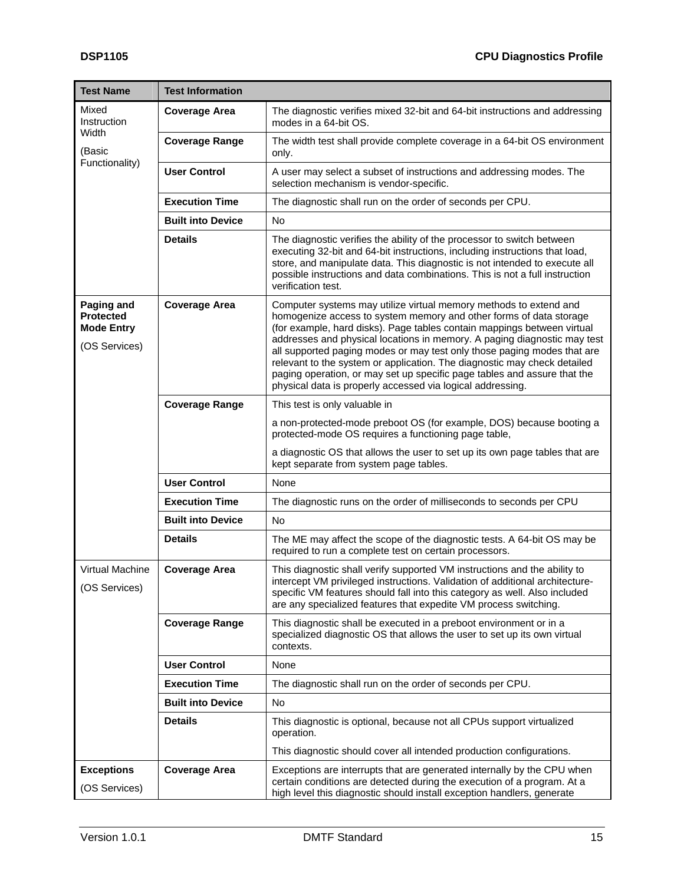| <b>Test Name</b>                                                     | <b>Test Information</b>  |                                                                                                                                                                                                                                                                                                                                                                                                                                                                                                                                                                                                 |  |
|----------------------------------------------------------------------|--------------------------|-------------------------------------------------------------------------------------------------------------------------------------------------------------------------------------------------------------------------------------------------------------------------------------------------------------------------------------------------------------------------------------------------------------------------------------------------------------------------------------------------------------------------------------------------------------------------------------------------|--|
| Mixed<br>Instruction                                                 | <b>Coverage Area</b>     | The diagnostic verifies mixed 32-bit and 64-bit instructions and addressing<br>modes in a 64-bit OS.                                                                                                                                                                                                                                                                                                                                                                                                                                                                                            |  |
| Width<br>(Basic<br>Functionality)                                    | <b>Coverage Range</b>    | The width test shall provide complete coverage in a 64-bit OS environment<br>only.                                                                                                                                                                                                                                                                                                                                                                                                                                                                                                              |  |
|                                                                      | <b>User Control</b>      | A user may select a subset of instructions and addressing modes. The<br>selection mechanism is vendor-specific.                                                                                                                                                                                                                                                                                                                                                                                                                                                                                 |  |
|                                                                      | <b>Execution Time</b>    | The diagnostic shall run on the order of seconds per CPU.                                                                                                                                                                                                                                                                                                                                                                                                                                                                                                                                       |  |
|                                                                      | <b>Built into Device</b> | <b>No</b>                                                                                                                                                                                                                                                                                                                                                                                                                                                                                                                                                                                       |  |
|                                                                      | <b>Details</b>           | The diagnostic verifies the ability of the processor to switch between<br>executing 32-bit and 64-bit instructions, including instructions that load,<br>store, and manipulate data. This diagnostic is not intended to execute all<br>possible instructions and data combinations. This is not a full instruction<br>verification test.                                                                                                                                                                                                                                                        |  |
| Paging and<br><b>Protected</b><br><b>Mode Entry</b><br>(OS Services) | <b>Coverage Area</b>     | Computer systems may utilize virtual memory methods to extend and<br>homogenize access to system memory and other forms of data storage<br>(for example, hard disks). Page tables contain mappings between virtual<br>addresses and physical locations in memory. A paging diagnostic may test<br>all supported paging modes or may test only those paging modes that are<br>relevant to the system or application. The diagnostic may check detailed<br>paging operation, or may set up specific page tables and assure that the<br>physical data is properly accessed via logical addressing. |  |
|                                                                      | <b>Coverage Range</b>    | This test is only valuable in                                                                                                                                                                                                                                                                                                                                                                                                                                                                                                                                                                   |  |
|                                                                      |                          | a non-protected-mode preboot OS (for example, DOS) because booting a<br>protected-mode OS requires a functioning page table,                                                                                                                                                                                                                                                                                                                                                                                                                                                                    |  |
|                                                                      |                          | a diagnostic OS that allows the user to set up its own page tables that are<br>kept separate from system page tables.                                                                                                                                                                                                                                                                                                                                                                                                                                                                           |  |
|                                                                      | <b>User Control</b>      | None                                                                                                                                                                                                                                                                                                                                                                                                                                                                                                                                                                                            |  |
|                                                                      | <b>Execution Time</b>    | The diagnostic runs on the order of milliseconds to seconds per CPU                                                                                                                                                                                                                                                                                                                                                                                                                                                                                                                             |  |
|                                                                      | <b>Built into Device</b> | No                                                                                                                                                                                                                                                                                                                                                                                                                                                                                                                                                                                              |  |
|                                                                      | <b>Details</b>           | The ME may affect the scope of the diagnostic tests. A 64-bit OS may be<br>required to run a complete test on certain processors.                                                                                                                                                                                                                                                                                                                                                                                                                                                               |  |
| Virtual Machine<br>(OS Services)                                     | <b>Coverage Area</b>     | This diagnostic shall verify supported VM instructions and the ability to<br>intercept VM privileged instructions. Validation of additional architecture-<br>specific VM features should fall into this category as well. Also included<br>are any specialized features that expedite VM process switching.                                                                                                                                                                                                                                                                                     |  |
|                                                                      | <b>Coverage Range</b>    | This diagnostic shall be executed in a preboot environment or in a<br>specialized diagnostic OS that allows the user to set up its own virtual<br>contexts.                                                                                                                                                                                                                                                                                                                                                                                                                                     |  |
|                                                                      | <b>User Control</b>      | None                                                                                                                                                                                                                                                                                                                                                                                                                                                                                                                                                                                            |  |
|                                                                      | <b>Execution Time</b>    | The diagnostic shall run on the order of seconds per CPU.                                                                                                                                                                                                                                                                                                                                                                                                                                                                                                                                       |  |
|                                                                      | <b>Built into Device</b> | No                                                                                                                                                                                                                                                                                                                                                                                                                                                                                                                                                                                              |  |
|                                                                      | <b>Details</b>           | This diagnostic is optional, because not all CPUs support virtualized<br>operation.                                                                                                                                                                                                                                                                                                                                                                                                                                                                                                             |  |
|                                                                      |                          | This diagnostic should cover all intended production configurations.                                                                                                                                                                                                                                                                                                                                                                                                                                                                                                                            |  |
| <b>Exceptions</b>                                                    | <b>Coverage Area</b>     | Exceptions are interrupts that are generated internally by the CPU when                                                                                                                                                                                                                                                                                                                                                                                                                                                                                                                         |  |
| (OS Services)                                                        |                          | certain conditions are detected during the execution of a program. At a<br>high level this diagnostic should install exception handlers, generate                                                                                                                                                                                                                                                                                                                                                                                                                                               |  |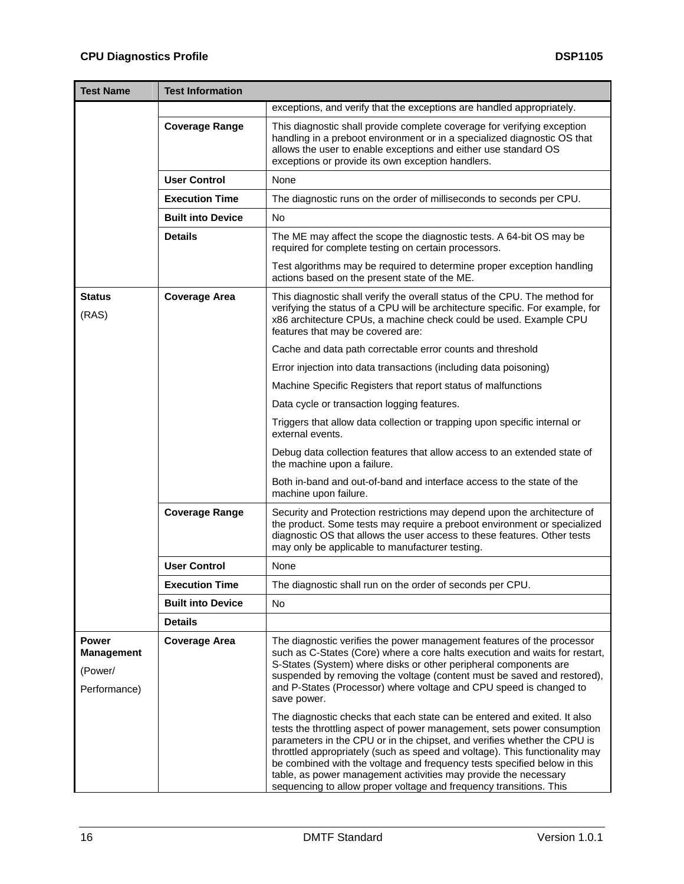| <b>Test Name</b>                                             | <b>Test Information</b>  |                                                                                                                                                                                                                                                                                                                                                                                                                                                                                                                                     |  |  |
|--------------------------------------------------------------|--------------------------|-------------------------------------------------------------------------------------------------------------------------------------------------------------------------------------------------------------------------------------------------------------------------------------------------------------------------------------------------------------------------------------------------------------------------------------------------------------------------------------------------------------------------------------|--|--|
|                                                              |                          | exceptions, and verify that the exceptions are handled appropriately.                                                                                                                                                                                                                                                                                                                                                                                                                                                               |  |  |
|                                                              | <b>Coverage Range</b>    | This diagnostic shall provide complete coverage for verifying exception<br>handling in a preboot environment or in a specialized diagnostic OS that<br>allows the user to enable exceptions and either use standard OS<br>exceptions or provide its own exception handlers.                                                                                                                                                                                                                                                         |  |  |
|                                                              | <b>User Control</b>      | None                                                                                                                                                                                                                                                                                                                                                                                                                                                                                                                                |  |  |
|                                                              | <b>Execution Time</b>    | The diagnostic runs on the order of milliseconds to seconds per CPU.                                                                                                                                                                                                                                                                                                                                                                                                                                                                |  |  |
|                                                              | <b>Built into Device</b> | No                                                                                                                                                                                                                                                                                                                                                                                                                                                                                                                                  |  |  |
|                                                              | <b>Details</b>           | The ME may affect the scope the diagnostic tests. A 64-bit OS may be<br>required for complete testing on certain processors.                                                                                                                                                                                                                                                                                                                                                                                                        |  |  |
|                                                              |                          | Test algorithms may be required to determine proper exception handling<br>actions based on the present state of the ME.                                                                                                                                                                                                                                                                                                                                                                                                             |  |  |
| <b>Status</b><br>(RAS)                                       | <b>Coverage Area</b>     | This diagnostic shall verify the overall status of the CPU. The method for<br>verifying the status of a CPU will be architecture specific. For example, for<br>x86 architecture CPUs, a machine check could be used. Example CPU<br>features that may be covered are:                                                                                                                                                                                                                                                               |  |  |
|                                                              |                          | Cache and data path correctable error counts and threshold                                                                                                                                                                                                                                                                                                                                                                                                                                                                          |  |  |
|                                                              |                          | Error injection into data transactions (including data poisoning)                                                                                                                                                                                                                                                                                                                                                                                                                                                                   |  |  |
|                                                              |                          | Machine Specific Registers that report status of malfunctions                                                                                                                                                                                                                                                                                                                                                                                                                                                                       |  |  |
|                                                              |                          | Data cycle or transaction logging features.                                                                                                                                                                                                                                                                                                                                                                                                                                                                                         |  |  |
|                                                              |                          | Triggers that allow data collection or trapping upon specific internal or<br>external events.                                                                                                                                                                                                                                                                                                                                                                                                                                       |  |  |
|                                                              |                          | Debug data collection features that allow access to an extended state of<br>the machine upon a failure.                                                                                                                                                                                                                                                                                                                                                                                                                             |  |  |
|                                                              |                          | Both in-band and out-of-band and interface access to the state of the<br>machine upon failure.                                                                                                                                                                                                                                                                                                                                                                                                                                      |  |  |
|                                                              | <b>Coverage Range</b>    | Security and Protection restrictions may depend upon the architecture of<br>the product. Some tests may require a preboot environment or specialized<br>diagnostic OS that allows the user access to these features. Other tests<br>may only be applicable to manufacturer testing.                                                                                                                                                                                                                                                 |  |  |
|                                                              | <b>User Control</b>      | None                                                                                                                                                                                                                                                                                                                                                                                                                                                                                                                                |  |  |
|                                                              | <b>Execution Time</b>    | The diagnostic shall run on the order of seconds per CPU.                                                                                                                                                                                                                                                                                                                                                                                                                                                                           |  |  |
|                                                              | <b>Built into Device</b> | No.                                                                                                                                                                                                                                                                                                                                                                                                                                                                                                                                 |  |  |
|                                                              | <b>Details</b>           |                                                                                                                                                                                                                                                                                                                                                                                                                                                                                                                                     |  |  |
| <b>Power</b><br><b>Management</b><br>(Power/<br>Performance) | <b>Coverage Area</b>     | The diagnostic verifies the power management features of the processor<br>such as C-States (Core) where a core halts execution and waits for restart,<br>S-States (System) where disks or other peripheral components are<br>suspended by removing the voltage (content must be saved and restored),<br>and P-States (Processor) where voltage and CPU speed is changed to<br>save power.                                                                                                                                           |  |  |
|                                                              |                          | The diagnostic checks that each state can be entered and exited. It also<br>tests the throttling aspect of power management, sets power consumption<br>parameters in the CPU or in the chipset, and verifies whether the CPU is<br>throttled appropriately (such as speed and voltage). This functionality may<br>be combined with the voltage and frequency tests specified below in this<br>table, as power management activities may provide the necessary<br>sequencing to allow proper voltage and frequency transitions. This |  |  |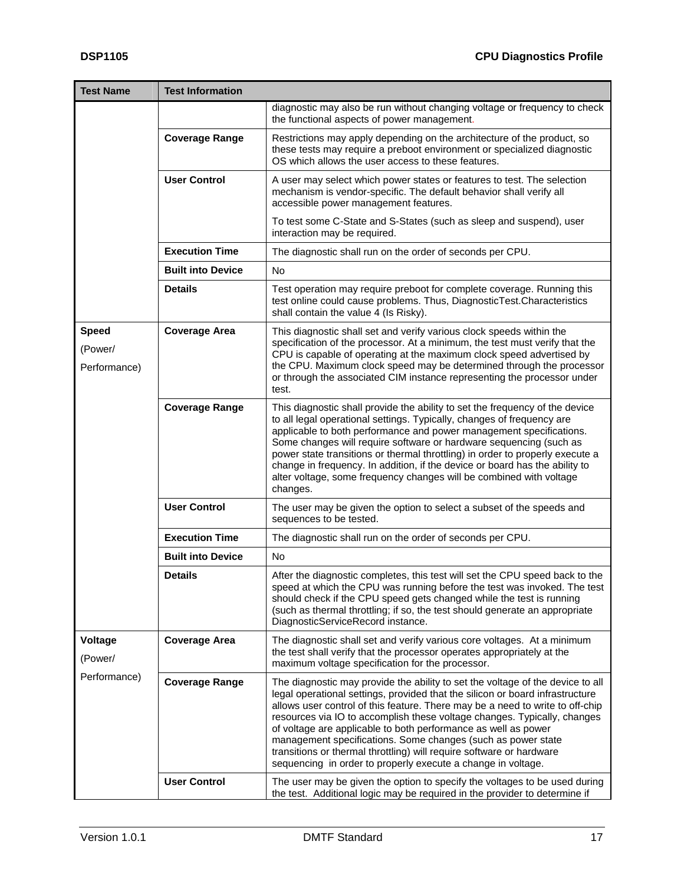| <b>Test Name</b>                        | <b>Test Information</b>  |                                                                                                                                                                                                                                                                                                                                                                                                                                                                                                                                                                                                        |  |  |
|-----------------------------------------|--------------------------|--------------------------------------------------------------------------------------------------------------------------------------------------------------------------------------------------------------------------------------------------------------------------------------------------------------------------------------------------------------------------------------------------------------------------------------------------------------------------------------------------------------------------------------------------------------------------------------------------------|--|--|
|                                         |                          | diagnostic may also be run without changing voltage or frequency to check<br>the functional aspects of power management.                                                                                                                                                                                                                                                                                                                                                                                                                                                                               |  |  |
|                                         | <b>Coverage Range</b>    | Restrictions may apply depending on the architecture of the product, so<br>these tests may require a preboot environment or specialized diagnostic<br>OS which allows the user access to these features.                                                                                                                                                                                                                                                                                                                                                                                               |  |  |
|                                         | <b>User Control</b>      | A user may select which power states or features to test. The selection<br>mechanism is vendor-specific. The default behavior shall verify all<br>accessible power management features.                                                                                                                                                                                                                                                                                                                                                                                                                |  |  |
|                                         |                          | To test some C-State and S-States (such as sleep and suspend), user<br>interaction may be required.                                                                                                                                                                                                                                                                                                                                                                                                                                                                                                    |  |  |
|                                         | <b>Execution Time</b>    | The diagnostic shall run on the order of seconds per CPU.                                                                                                                                                                                                                                                                                                                                                                                                                                                                                                                                              |  |  |
|                                         | <b>Built into Device</b> | No.                                                                                                                                                                                                                                                                                                                                                                                                                                                                                                                                                                                                    |  |  |
|                                         | <b>Details</b>           | Test operation may require preboot for complete coverage. Running this<br>test online could cause problems. Thus, DiagnosticTest.Characteristics<br>shall contain the value 4 (Is Risky).                                                                                                                                                                                                                                                                                                                                                                                                              |  |  |
| <b>Speed</b><br>(Power/<br>Performance) | <b>Coverage Area</b>     | This diagnostic shall set and verify various clock speeds within the<br>specification of the processor. At a minimum, the test must verify that the<br>CPU is capable of operating at the maximum clock speed advertised by<br>the CPU. Maximum clock speed may be determined through the processor<br>or through the associated CIM instance representing the processor under<br>test.                                                                                                                                                                                                                |  |  |
|                                         | <b>Coverage Range</b>    | This diagnostic shall provide the ability to set the frequency of the device<br>to all legal operational settings. Typically, changes of frequency are<br>applicable to both performance and power management specifications.<br>Some changes will require software or hardware sequencing (such as<br>power state transitions or thermal throttling) in order to properly execute a<br>change in frequency. In addition, if the device or board has the ability to<br>alter voltage, some frequency changes will be combined with voltage<br>changes.                                                 |  |  |
|                                         | <b>User Control</b>      | The user may be given the option to select a subset of the speeds and<br>sequences to be tested.                                                                                                                                                                                                                                                                                                                                                                                                                                                                                                       |  |  |
|                                         | <b>Execution Time</b>    | The diagnostic shall run on the order of seconds per CPU.                                                                                                                                                                                                                                                                                                                                                                                                                                                                                                                                              |  |  |
|                                         | <b>Built into Device</b> | <b>No</b>                                                                                                                                                                                                                                                                                                                                                                                                                                                                                                                                                                                              |  |  |
|                                         | <b>Details</b>           | After the diagnostic completes, this test will set the CPU speed back to the<br>speed at which the CPU was running before the test was invoked. The test<br>should check if the CPU speed gets changed while the test is running<br>(such as thermal throttling; if so, the test should generate an appropriate<br>DiagnosticServiceRecord instance.                                                                                                                                                                                                                                                   |  |  |
| Voltage<br>(Power/                      | <b>Coverage Area</b>     | The diagnostic shall set and verify various core voltages. At a minimum<br>the test shall verify that the processor operates appropriately at the<br>maximum voltage specification for the processor.                                                                                                                                                                                                                                                                                                                                                                                                  |  |  |
| Performance)                            | <b>Coverage Range</b>    | The diagnostic may provide the ability to set the voltage of the device to all<br>legal operational settings, provided that the silicon or board infrastructure<br>allows user control of this feature. There may be a need to write to off-chip<br>resources via IO to accomplish these voltage changes. Typically, changes<br>of voltage are applicable to both performance as well as power<br>management specifications. Some changes (such as power state<br>transitions or thermal throttling) will require software or hardware<br>sequencing in order to properly execute a change in voltage. |  |  |
|                                         | <b>User Control</b>      | The user may be given the option to specify the voltages to be used during<br>the test. Additional logic may be required in the provider to determine if                                                                                                                                                                                                                                                                                                                                                                                                                                               |  |  |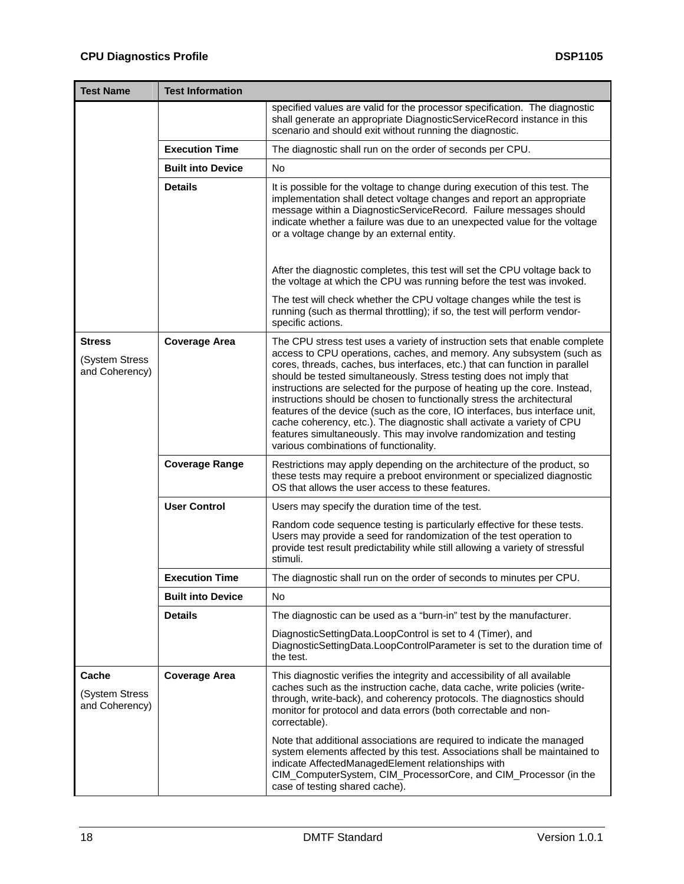| <b>Test Name</b>                                   | <b>Test Information</b>  |                                                                                                                                                                                                                                                                                                                                                                                                                                                                                                                                                                                                                                                                                                                                              |  |  |
|----------------------------------------------------|--------------------------|----------------------------------------------------------------------------------------------------------------------------------------------------------------------------------------------------------------------------------------------------------------------------------------------------------------------------------------------------------------------------------------------------------------------------------------------------------------------------------------------------------------------------------------------------------------------------------------------------------------------------------------------------------------------------------------------------------------------------------------------|--|--|
|                                                    |                          | specified values are valid for the processor specification. The diagnostic<br>shall generate an appropriate DiagnosticServiceRecord instance in this<br>scenario and should exit without running the diagnostic.                                                                                                                                                                                                                                                                                                                                                                                                                                                                                                                             |  |  |
|                                                    | <b>Execution Time</b>    | The diagnostic shall run on the order of seconds per CPU.                                                                                                                                                                                                                                                                                                                                                                                                                                                                                                                                                                                                                                                                                    |  |  |
|                                                    | <b>Built into Device</b> | <b>No</b>                                                                                                                                                                                                                                                                                                                                                                                                                                                                                                                                                                                                                                                                                                                                    |  |  |
|                                                    | <b>Details</b>           | It is possible for the voltage to change during execution of this test. The<br>implementation shall detect voltage changes and report an appropriate<br>message within a DiagnosticServiceRecord. Failure messages should<br>indicate whether a failure was due to an unexpected value for the voltage<br>or a voltage change by an external entity.                                                                                                                                                                                                                                                                                                                                                                                         |  |  |
|                                                    |                          | After the diagnostic completes, this test will set the CPU voltage back to<br>the voltage at which the CPU was running before the test was invoked.                                                                                                                                                                                                                                                                                                                                                                                                                                                                                                                                                                                          |  |  |
|                                                    |                          | The test will check whether the CPU voltage changes while the test is<br>running (such as thermal throttling); if so, the test will perform vendor-<br>specific actions.                                                                                                                                                                                                                                                                                                                                                                                                                                                                                                                                                                     |  |  |
| <b>Stress</b><br>(System Stress)<br>and Coherency) | <b>Coverage Area</b>     | The CPU stress test uses a variety of instruction sets that enable complete<br>access to CPU operations, caches, and memory. Any subsystem (such as<br>cores, threads, caches, bus interfaces, etc.) that can function in parallel<br>should be tested simultaneously. Stress testing does not imply that<br>instructions are selected for the purpose of heating up the core. Instead,<br>instructions should be chosen to functionally stress the architectural<br>features of the device (such as the core, IO interfaces, bus interface unit,<br>cache coherency, etc.). The diagnostic shall activate a variety of CPU<br>features simultaneously. This may involve randomization and testing<br>various combinations of functionality. |  |  |
|                                                    | <b>Coverage Range</b>    | Restrictions may apply depending on the architecture of the product, so<br>these tests may require a preboot environment or specialized diagnostic<br>OS that allows the user access to these features.                                                                                                                                                                                                                                                                                                                                                                                                                                                                                                                                      |  |  |
|                                                    | <b>User Control</b>      | Users may specify the duration time of the test.                                                                                                                                                                                                                                                                                                                                                                                                                                                                                                                                                                                                                                                                                             |  |  |
|                                                    |                          | Random code sequence testing is particularly effective for these tests.<br>Users may provide a seed for randomization of the test operation to<br>provide test result predictability while still allowing a variety of stressful<br>stimuli.                                                                                                                                                                                                                                                                                                                                                                                                                                                                                                 |  |  |
|                                                    | <b>Execution Time</b>    | The diagnostic shall run on the order of seconds to minutes per CPU.                                                                                                                                                                                                                                                                                                                                                                                                                                                                                                                                                                                                                                                                         |  |  |
|                                                    | <b>Built into Device</b> | No.                                                                                                                                                                                                                                                                                                                                                                                                                                                                                                                                                                                                                                                                                                                                          |  |  |
|                                                    | <b>Details</b>           | The diagnostic can be used as a "burn-in" test by the manufacturer.                                                                                                                                                                                                                                                                                                                                                                                                                                                                                                                                                                                                                                                                          |  |  |
|                                                    |                          | DiagnosticSettingData.LoopControl is set to 4 (Timer), and<br>DiagnosticSettingData.LoopControlParameter is set to the duration time of<br>the test.                                                                                                                                                                                                                                                                                                                                                                                                                                                                                                                                                                                         |  |  |
| Cache<br>(System Stress<br>and Coherency)          | <b>Coverage Area</b>     | This diagnostic verifies the integrity and accessibility of all available<br>caches such as the instruction cache, data cache, write policies (write-<br>through, write-back), and coherency protocols. The diagnostics should<br>monitor for protocol and data errors (both correctable and non-<br>correctable).                                                                                                                                                                                                                                                                                                                                                                                                                           |  |  |
|                                                    |                          | Note that additional associations are required to indicate the managed<br>system elements affected by this test. Associations shall be maintained to<br>indicate AffectedManagedElement relationships with<br>CIM_ComputerSystem, CIM_ProcessorCore, and CIM_Processor (in the<br>case of testing shared cache).                                                                                                                                                                                                                                                                                                                                                                                                                             |  |  |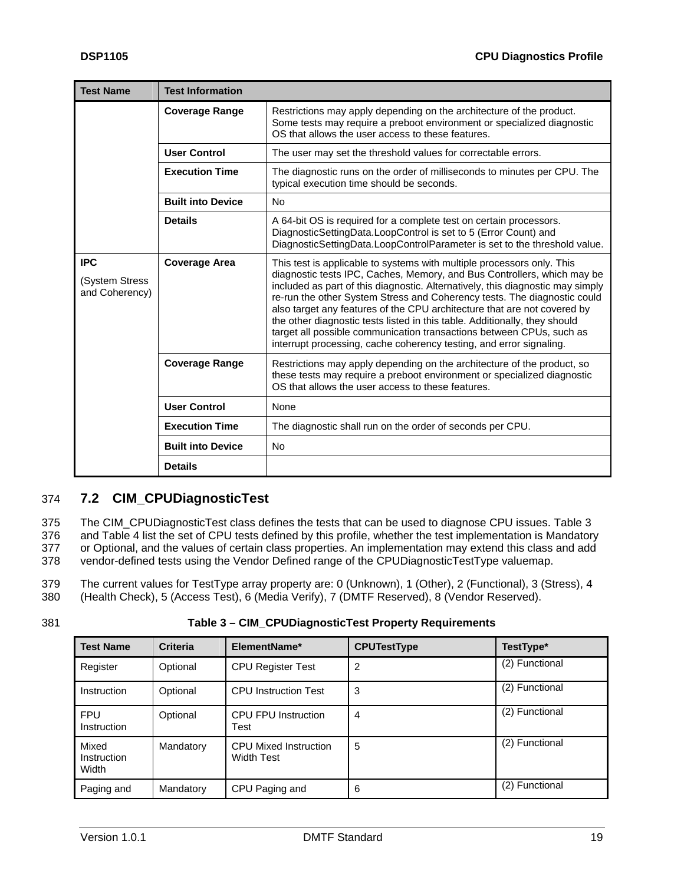<span id="page-18-0"></span>

| <b>Test Name</b>                               | <b>Test Information</b>  |                                                                                                                                                                                                                                                                                                                                                                                                                                                                                                                                                                                                                          |  |  |
|------------------------------------------------|--------------------------|--------------------------------------------------------------------------------------------------------------------------------------------------------------------------------------------------------------------------------------------------------------------------------------------------------------------------------------------------------------------------------------------------------------------------------------------------------------------------------------------------------------------------------------------------------------------------------------------------------------------------|--|--|
|                                                | <b>Coverage Range</b>    | Restrictions may apply depending on the architecture of the product.<br>Some tests may require a preboot environment or specialized diagnostic<br>OS that allows the user access to these features.                                                                                                                                                                                                                                                                                                                                                                                                                      |  |  |
|                                                | <b>User Control</b>      | The user may set the threshold values for correctable errors.                                                                                                                                                                                                                                                                                                                                                                                                                                                                                                                                                            |  |  |
|                                                | <b>Execution Time</b>    | The diagnostic runs on the order of milliseconds to minutes per CPU. The<br>typical execution time should be seconds.                                                                                                                                                                                                                                                                                                                                                                                                                                                                                                    |  |  |
|                                                | <b>Built into Device</b> | <b>No</b>                                                                                                                                                                                                                                                                                                                                                                                                                                                                                                                                                                                                                |  |  |
|                                                | <b>Details</b>           | A 64-bit OS is required for a complete test on certain processors.<br>DiagnosticSettingData.LoopControl is set to 5 (Error Count) and<br>DiagnosticSettingData.LoopControlParameter is set to the threshold value.                                                                                                                                                                                                                                                                                                                                                                                                       |  |  |
| <b>IPC</b><br>(System Stress<br>and Coherency) | <b>Coverage Area</b>     | This test is applicable to systems with multiple processors only. This<br>diagnostic tests IPC, Caches, Memory, and Bus Controllers, which may be<br>included as part of this diagnostic. Alternatively, this diagnostic may simply<br>re-run the other System Stress and Coherency tests. The diagnostic could<br>also target any features of the CPU architecture that are not covered by<br>the other diagnostic tests listed in this table. Additionally, they should<br>target all possible communication transactions between CPUs, such as<br>interrupt processing, cache coherency testing, and error signaling. |  |  |
|                                                | <b>Coverage Range</b>    | Restrictions may apply depending on the architecture of the product, so<br>these tests may require a preboot environment or specialized diagnostic<br>OS that allows the user access to these features.                                                                                                                                                                                                                                                                                                                                                                                                                  |  |  |
|                                                | <b>User Control</b>      | None                                                                                                                                                                                                                                                                                                                                                                                                                                                                                                                                                                                                                     |  |  |
|                                                | <b>Execution Time</b>    | The diagnostic shall run on the order of seconds per CPU.                                                                                                                                                                                                                                                                                                                                                                                                                                                                                                                                                                |  |  |
|                                                | <b>Built into Device</b> | No                                                                                                                                                                                                                                                                                                                                                                                                                                                                                                                                                                                                                       |  |  |
|                                                | <b>Details</b>           |                                                                                                                                                                                                                                                                                                                                                                                                                                                                                                                                                                                                                          |  |  |

#### <span id="page-18-2"></span>374 **7.2 CIM\_CPUDiagnosticTest**

The CIM\_CPUDiagnosticTest class defines the tests that can be used to diagnose CPU issues. [Table 3](#page-18-1) and [Table 4](#page-19-1) list the set of CPU tests defined by this profile, whether the test implementation is Mandatory 375 376 377 378 or Optional, and the values of certain class properties. An implementation may extend this class and add vendor-defined tests using the Vendor Defined range of the CPUDiagnosticTestType valuemap.

379 380 The current values for TestType array property are: 0 (Unknown), 1 (Other), 2 (Functional), 3 (Stress), 4 (Health Check), 5 (Access Test), 6 (Media Verify), 7 (DMTF Reserved), 8 (Vendor Reserved).

<span id="page-18-1"></span>381

**Table 3 – CIM\_CPUDiagnosticTest Property Requirements** 

| <b>Test Name</b>              | <b>Criteria</b> | ElementName*                                      | <b>CPUTestType</b> | TestType*      |
|-------------------------------|-----------------|---------------------------------------------------|--------------------|----------------|
| Register                      | Optional        | <b>CPU Register Test</b>                          | $\overline{2}$     | (2) Functional |
| Instruction                   | Optional        | <b>CPU</b> Instruction Test                       | 3                  | (2) Functional |
| <b>FPU</b><br>Instruction     | Optional        | <b>CPU FPU Instruction</b><br>Test                | $\overline{4}$     | (2) Functional |
| Mixed<br>Instruction<br>Width | Mandatory       | <b>CPU Mixed Instruction</b><br><b>Width Test</b> | 5                  | (2) Functional |
| Paging and                    | Mandatory       | CPU Paging and                                    | 6                  | (2) Functional |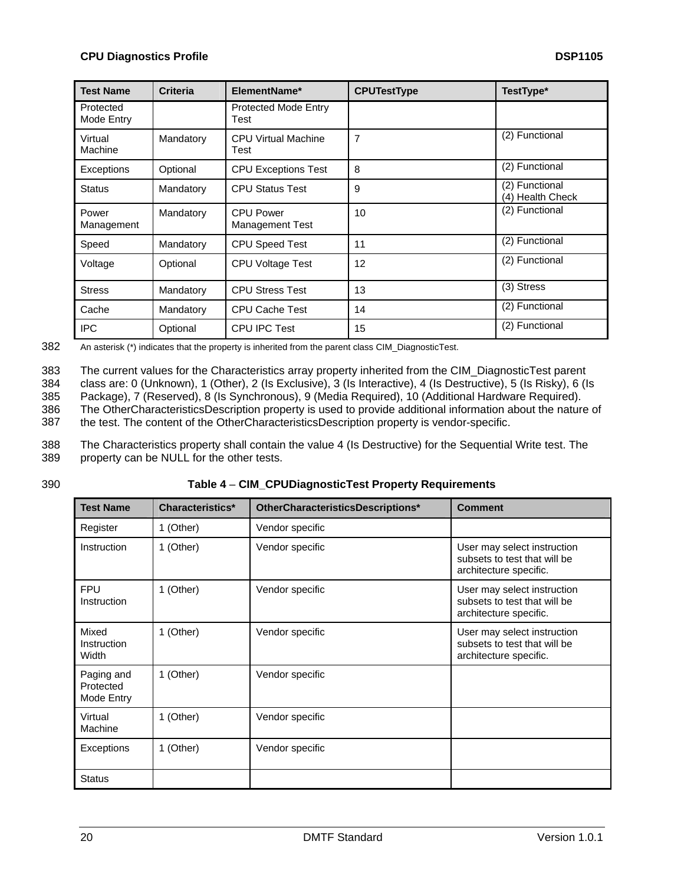<span id="page-19-0"></span>

| <b>Test Name</b>        | <b>Criteria</b> | ElementName*                               | <b>CPUTestType</b> | TestType*                          |
|-------------------------|-----------------|--------------------------------------------|--------------------|------------------------------------|
| Protected<br>Mode Entry |                 | <b>Protected Mode Entry</b><br>Test        |                    |                                    |
| Virtual<br>Machine      | Mandatory       | <b>CPU Virtual Machine</b><br>Test         | 7                  | (2) Functional                     |
| Exceptions              | Optional        | <b>CPU Exceptions Test</b>                 | 8                  | (2) Functional                     |
| <b>Status</b>           | Mandatory       | <b>CPU Status Test</b>                     | 9                  | (2) Functional<br>(4) Health Check |
| Power<br>Management     | Mandatory       | <b>CPU Power</b><br><b>Management Test</b> | 10                 | (2) Functional                     |
| Speed                   | Mandatory       | <b>CPU Speed Test</b>                      | 11                 | (2) Functional                     |
| Voltage                 | Optional        | CPU Voltage Test                           | 12                 | (2) Functional                     |
| <b>Stress</b>           | Mandatory       | <b>CPU Stress Test</b>                     | 13                 | $(3)$ Stress                       |
| Cache                   | Mandatory       | <b>CPU Cache Test</b>                      | 14                 | (2) Functional                     |
| <b>IPC</b>              | Optional        | <b>CPU IPC Test</b>                        | 15                 | (2) Functional                     |

382 An asterisk (\*) indicates that the property is inherited from the parent class CIM\_DiagnosticTest.

383 The current values for the Characteristics array property inherited from the CIM\_DiagnosticTest parent

384 class are: 0 (Unknown), 1 (Other), 2 (Is Exclusive), 3 (Is Interactive), 4 (Is Destructive), 5 (Is Risky), 6 (Is

385 Package), 7 (Reserved), 8 (Is Synchronous), 9 (Media Required), 10 (Additional Hardware Required).

386 The OtherCharacteristicsDescription property is used to provide additional information about the nature of

387 the test. The content of the OtherCharacteristicsDescription property is vendor-specific.

388 389 The Characteristics property shall contain the value 4 (Is Destructive) for the Sequential Write test. The property can be NULL for the other tests.

<span id="page-19-1"></span>390

#### **Table 4** – **CIM\_CPUDiagnosticTest Property Requirements**

| <b>Test Name</b>                      | <b>Characteristics*</b> | OtherCharacteristicsDescriptions* | <b>Comment</b>                                                                        |
|---------------------------------------|-------------------------|-----------------------------------|---------------------------------------------------------------------------------------|
| Register                              | 1 (Other)               | Vendor specific                   |                                                                                       |
| <b>Instruction</b>                    | 1 (Other)               | Vendor specific                   | User may select instruction<br>subsets to test that will be<br>architecture specific. |
| <b>FPU</b><br><b>Instruction</b>      | 1 (Other)               | Vendor specific                   | User may select instruction<br>subsets to test that will be<br>architecture specific. |
| Mixed<br>Instruction<br>Width         | 1 (Other)               | Vendor specific                   | User may select instruction<br>subsets to test that will be<br>architecture specific. |
| Paging and<br>Protected<br>Mode Entry | 1 (Other)               | Vendor specific                   |                                                                                       |
| Virtual<br>Machine                    | 1 (Other)               | Vendor specific                   |                                                                                       |
| Exceptions                            | 1 (Other)               | Vendor specific                   |                                                                                       |
| <b>Status</b>                         |                         |                                   |                                                                                       |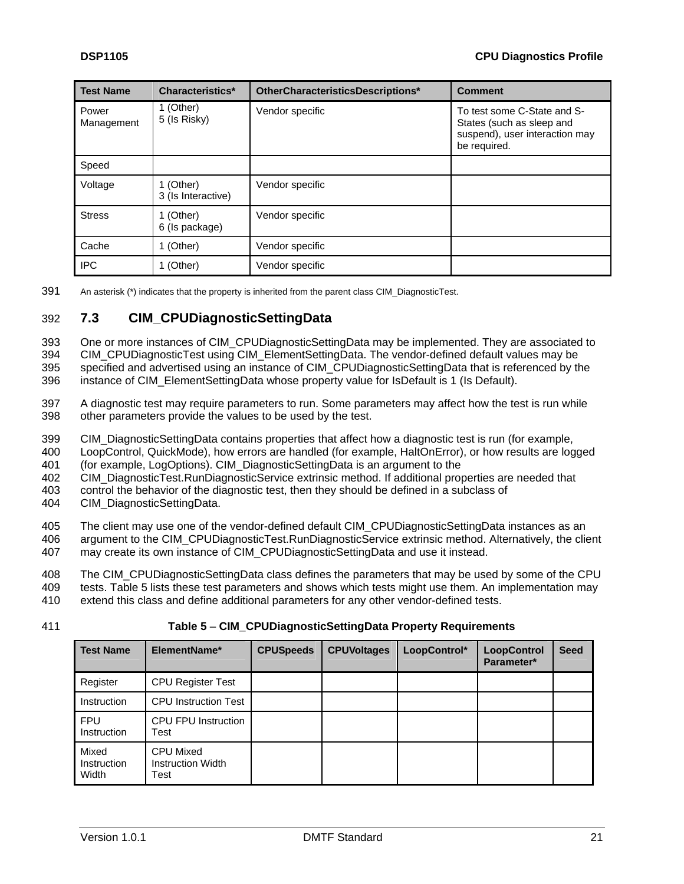<span id="page-20-0"></span>

| <b>Test Name</b>    | <b>Characteristics*</b>         | OtherCharacteristicsDescriptions* | <b>Comment</b>                                                                                             |
|---------------------|---------------------------------|-----------------------------------|------------------------------------------------------------------------------------------------------------|
| Power<br>Management | 1 (Other)<br>5 (Is Risky)       | Vendor specific                   | To test some C-State and S-<br>States (such as sleep and<br>suspend), user interaction may<br>be required. |
| Speed               |                                 |                                   |                                                                                                            |
| Voltage             | 1 (Other)<br>3 (Is Interactive) | Vendor specific                   |                                                                                                            |
| <b>Stress</b>       | 1 (Other)<br>6 (Is package)     | Vendor specific                   |                                                                                                            |
| Cache               | (Other)                         | Vendor specific                   |                                                                                                            |
| <b>IPC</b>          | 1 (Other)                       | Vendor specific                   |                                                                                                            |

391 An asterisk (\*) indicates that the property is inherited from the parent class CIM\_DiagnosticTest.

## <span id="page-20-2"></span>392 **7.3 CIM\_CPUDiagnosticSettingData**

393 One or more instances of CIM\_CPUDiagnosticSettingData may be implemented. They are associated to

394 CIM\_CPUDiagnosticTest using CIM\_ElementSettingData. The vendor-defined default values may be

395 specified and advertised using an instance of CIM\_CPUDiagnosticSettingData that is referenced by the

396 instance of CIM\_ElementSettingData whose property value for IsDefault is 1 (Is Default).

397 398 A diagnostic test may require parameters to run. Some parameters may affect how the test is run while other parameters provide the values to be used by the test.

399 CIM\_DiagnosticSettingData contains properties that affect how a diagnostic test is run (for example,

400 401 LoopControl, QuickMode), how errors are handled (for example, HaltOnError), or how results are logged (for example, LogOptions). CIM\_DiagnosticSettingData is an argument to the

402 CIM\_DiagnosticTest.RunDiagnosticService extrinsic method. If additional properties are needed that

403 control the behavior of the diagnostic test, then they should be defined in a subclass of

404 CIM\_DiagnosticSettingData.

405 406 407 The client may use one of the vendor-defined default CIM\_CPUDiagnosticSettingData instances as an argument to the CIM\_CPUDiagnosticTest.RunDiagnosticService extrinsic method. Alternatively, the client may create its own instance of CIM\_CPUDiagnosticSettingData and use it instead.

408 The CIM\_CPUDiagnosticSettingData class defines the parameters that may be used by some of the CPU

409 tests. [Table 5](#page-20-1) lists these test parameters and shows which tests might use them. An implementation may

410 extend this class and define additional parameters for any other vendor-defined tests.

<span id="page-20-1"></span>411

#### **Table 5** – **CIM\_CPUDiagnosticSettingData Property Requirements**

| <b>Test Name</b>              | ElementName*                                         | <b>CPUSpeeds</b> | <b>CPUVoltages</b> | LoopControl* | <b>LoopControl</b><br>Parameter* | <b>Seed</b> |
|-------------------------------|------------------------------------------------------|------------------|--------------------|--------------|----------------------------------|-------------|
| Register                      | <b>CPU Register Test</b>                             |                  |                    |              |                                  |             |
| Instruction                   | <b>CPU</b> Instruction Test                          |                  |                    |              |                                  |             |
| <b>FPU</b><br>Instruction     | CPU FPU Instruction<br>Test                          |                  |                    |              |                                  |             |
| Mixed<br>Instruction<br>Width | <b>CPU Mixed</b><br><b>Instruction Width</b><br>Test |                  |                    |              |                                  |             |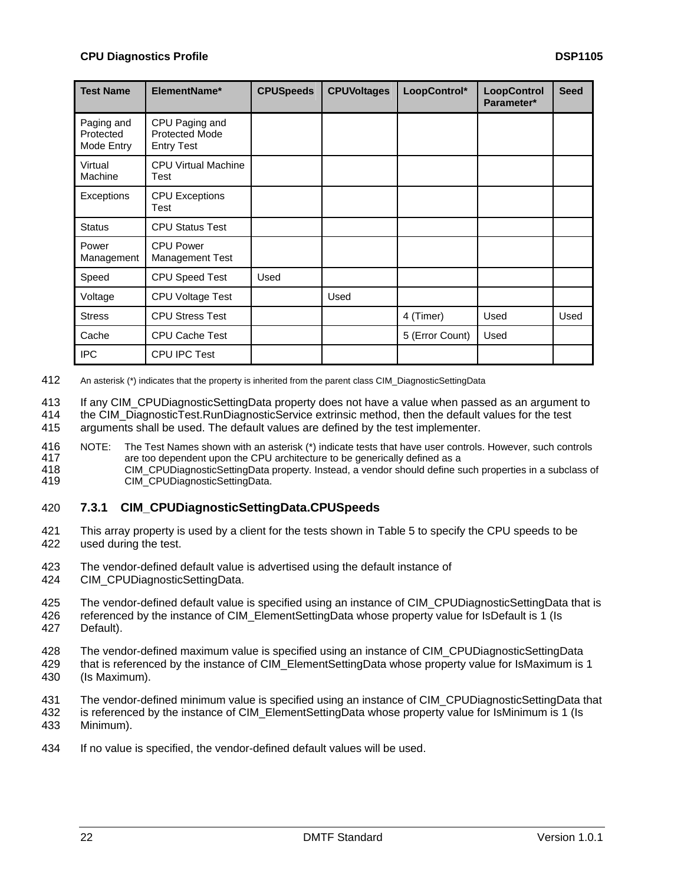<span id="page-21-0"></span>

| <b>Test Name</b>                      | ElementName*                                                 | <b>CPUSpeeds</b> | <b>CPUVoltages</b> | LoopControl*    | <b>LoopControl</b><br>Parameter* | <b>Seed</b> |
|---------------------------------------|--------------------------------------------------------------|------------------|--------------------|-----------------|----------------------------------|-------------|
| Paging and<br>Protected<br>Mode Entry | CPU Paging and<br><b>Protected Mode</b><br><b>Entry Test</b> |                  |                    |                 |                                  |             |
| Virtual<br>Machine                    | <b>CPU Virtual Machine</b><br>Test                           |                  |                    |                 |                                  |             |
| Exceptions                            | <b>CPU Exceptions</b><br>Test                                |                  |                    |                 |                                  |             |
| <b>Status</b>                         | <b>CPU Status Test</b>                                       |                  |                    |                 |                                  |             |
| Power<br>Management                   | <b>CPU Power</b><br>Management Test                          |                  |                    |                 |                                  |             |
| Speed                                 | <b>CPU Speed Test</b>                                        | Used             |                    |                 |                                  |             |
| Voltage                               | <b>CPU Voltage Test</b>                                      |                  | Used               |                 |                                  |             |
| <b>Stress</b>                         | <b>CPU Stress Test</b>                                       |                  |                    | 4 (Timer)       | Used                             | Used        |
| Cache                                 | <b>CPU Cache Test</b>                                        |                  |                    | 5 (Error Count) | Used                             |             |
| <b>IPC</b>                            | <b>CPU IPC Test</b>                                          |                  |                    |                 |                                  |             |

412 An asterisk (\*) indicates that the property is inherited from the parent class CIM\_DiagnosticSettingData

413 If any CIM\_CPUDiagnosticSettingData property does not have a value when passed as an argument to

414 415 the CIM\_DiagnosticTest.RunDiagnosticService extrinsic method, then the default values for the test arguments shall be used. The default values are defined by the test implementer.

- 416 417 NOTE: The Test Names shown with an asterisk (\*) indicate tests that have user controls. However, such controls are too dependent upon the CPU architecture to be generically defined as a
- 418 419 CIM\_CPUDiagnosticSettingData property. Instead, a vendor should define such properties in a subclass of CIM\_CPUDiagnosticSettingData.

#### <span id="page-21-1"></span>420 **7.3.1 CIM\_CPUDiagnosticSettingData.CPUSpeeds**

- 421 422 This array property is used by a client for the tests shown in [Table 5](#page-20-1) to specify the CPU speeds to be used during the test.
- 423 The vendor-defined default value is advertised using the default instance of
- 424 CIM\_CPUDiagnosticSettingData.
- 425 The vendor-defined default value is specified using an instance of CIM\_CPUDiagnosticSettingData that is
- 426 427 referenced by the instance of CIM\_ElementSettingData whose property value for IsDefault is 1 (Is Default).
- 428 429 The vendor-defined maximum value is specified using an instance of CIM\_CPUDiagnosticSettingData that is referenced by the instance of CIM\_ElementSettingData whose property value for IsMaximum is 1
- 430 (Is Maximum).
- 431 The vendor-defined minimum value is specified using an instance of CIM\_CPUDiagnosticSettingData that
- 432 433 is referenced by the instance of CIM\_ElementSettingData whose property value for IsMinimum is 1 (Is Minimum).
- 434 If no value is specified, the vendor-defined default values will be used.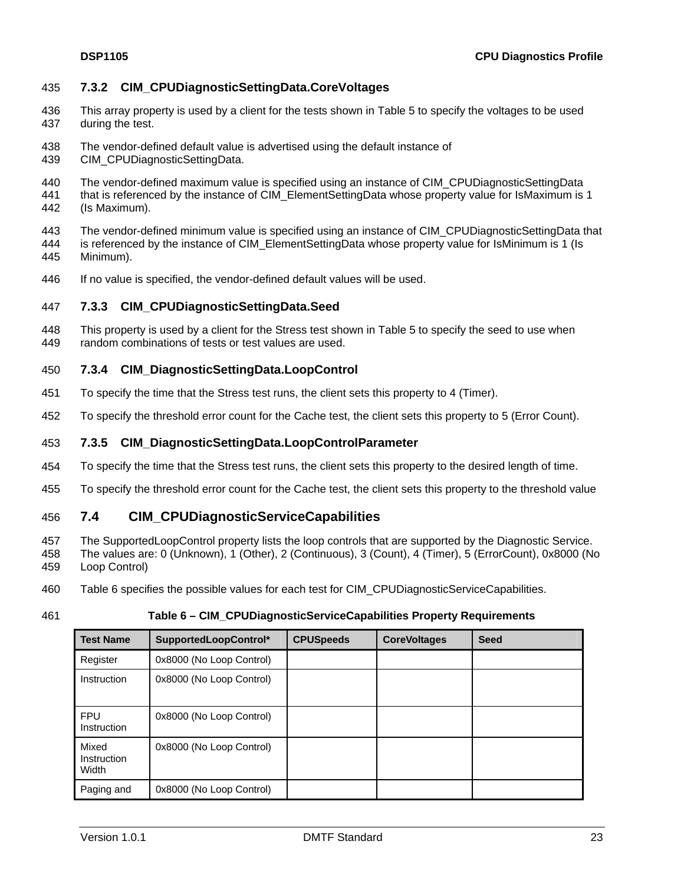#### <span id="page-22-2"></span><span id="page-22-0"></span>435 **7.3.2 CIM\_CPUDiagnosticSettingData.CoreVoltages**

- This array property is used by a client for the tests shown in [Table 5](#page-20-1) to specify the voltages to be used during the test. 436 437
- 438 The vendor-defined default value is advertised using the default instance of
- 439 CIM\_CPUDiagnosticSettingData.
- 440 The vendor-defined maximum value is specified using an instance of CIM\_CPUDiagnosticSettingData
- 441 442 that is referenced by the instance of CIM\_ElementSettingData whose property value for IsMaximum is 1 (Is Maximum).
- 443 444 445 The vendor-defined minimum value is specified using an instance of CIM\_CPUDiagnosticSettingData that is referenced by the instance of CIM\_ElementSettingData whose property value for IsMinimum is 1 (Is Minimum).
- 446 If no value is specified, the vendor-defined default values will be used.

#### <span id="page-22-3"></span>447 **7.3.3 CIM\_CPUDiagnosticSettingData.Seed**

448 449 This property is used by a client for the Stress test shown in [Table 5](#page-20-1) to specify the seed to use when random combinations of tests or test values are used.

- 450 **7.3.4 CIM\_DiagnosticSettingData.LoopControl**
- 451 To specify the time that the Stress test runs, the client sets this property to 4 (Timer).
- 452 To specify the threshold error count for the Cache test, the client sets this property to 5 (Error Count).

#### 453 **7.3.5 CIM\_DiagnosticSettingData.LoopControlParameter**

- 454 To specify the time that the Stress test runs, the client sets this property to the desired length of time.
- 455 To specify the threshold error count for the Cache test, the client sets this property to the threshold value

#### <span id="page-22-4"></span>456 **7.4 CIM\_CPUDiagnosticServiceCapabilities**

- 457 458 459 The SupportedLoopControl property lists the loop controls that are supported by the Diagnostic Service. The values are: 0 (Unknown), 1 (Other), 2 (Continuous), 3 (Count), 4 (Timer), 5 (ErrorCount), 0x8000 (No Loop Control)
- 460 [Table 6](#page-22-1) specifies the possible values for each test for CIM\_CPUDiagnosticServiceCapabilities.
- <span id="page-22-1"></span>461

#### **Table 6 – CIM\_CPUDiagnosticServiceCapabilities Property Requirements**

| <b>Test Name</b>              | SupportedLoopControl*    | <b>CPUSpeeds</b> | <b>CoreVoltages</b> | <b>Seed</b> |
|-------------------------------|--------------------------|------------------|---------------------|-------------|
| Register                      | 0x8000 (No Loop Control) |                  |                     |             |
| Instruction                   | 0x8000 (No Loop Control) |                  |                     |             |
| <b>FPU</b><br>Instruction     | 0x8000 (No Loop Control) |                  |                     |             |
| Mixed<br>Instruction<br>Width | 0x8000 (No Loop Control) |                  |                     |             |
| Paging and                    | 0x8000 (No Loop Control) |                  |                     |             |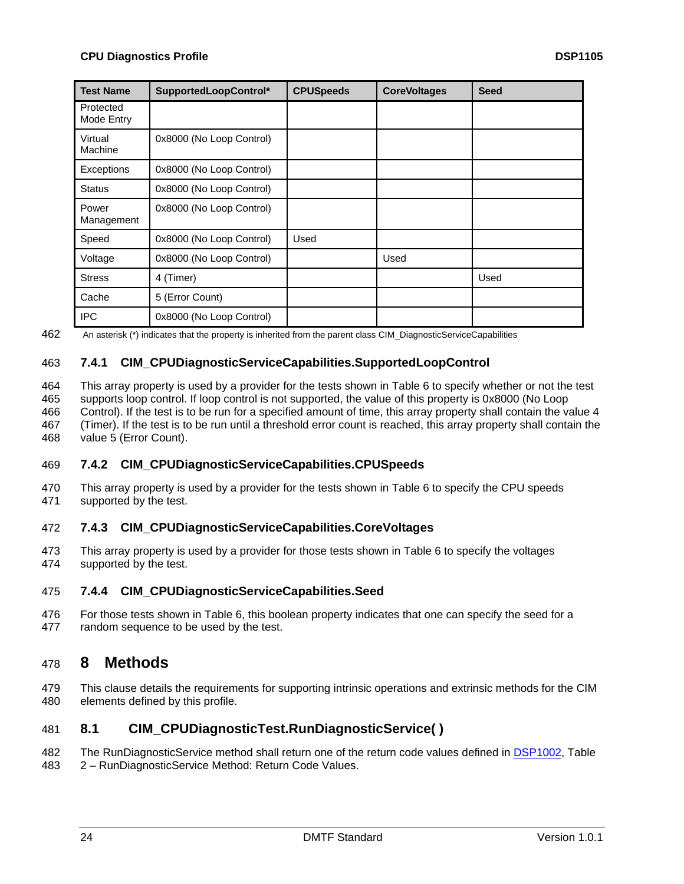<span id="page-23-0"></span>

| <b>Test Name</b>        | SupportedLoopControl*    | <b>CPUSpeeds</b> | <b>CoreVoltages</b> | <b>Seed</b> |
|-------------------------|--------------------------|------------------|---------------------|-------------|
| Protected<br>Mode Entry |                          |                  |                     |             |
| Virtual<br>Machine      | 0x8000 (No Loop Control) |                  |                     |             |
| Exceptions              | 0x8000 (No Loop Control) |                  |                     |             |
| <b>Status</b>           | 0x8000 (No Loop Control) |                  |                     |             |
| Power<br>Management     | 0x8000 (No Loop Control) |                  |                     |             |
| Speed                   | 0x8000 (No Loop Control) | Used             |                     |             |
| Voltage                 | 0x8000 (No Loop Control) |                  | Used                |             |
| <b>Stress</b>           | 4 (Timer)                |                  |                     | Used        |
| Cache                   | 5 (Error Count)          |                  |                     |             |
| <b>IPC</b>              | 0x8000 (No Loop Control) |                  |                     |             |

462 An asterisk (\*) indicates that the property is inherited from the parent class CIM\_DiagnosticServiceCapabilities

#### 463 **7.4.1 CIM\_CPUDiagnosticServiceCapabilities.SupportedLoopControl**

464 465 466 467 468 This array property is used by a provider for the tests shown in [Table 6](#page-22-1) to specify whether or not the test supports loop control. If loop control is not supported, the value of this property is 0x8000 (No Loop Control). If the test is to be run for a specified amount of time, this array property shall contain the value 4 (Timer). If the test is to be run until a threshold error count is reached, this array property shall contain the value 5 (Error Count).

#### <span id="page-23-2"></span>469 **7.4.2 CIM\_CPUDiagnosticServiceCapabilities.CPUSpeeds**

470 471 This array property is used by a provider for the tests shown in [Table 6](#page-22-1) to specify the CPU speeds supported by the test.

#### <span id="page-23-3"></span>472 **7.4.3 CIM\_CPUDiagnosticServiceCapabilities.CoreVoltages**

473 474 This array property is used by a provider for those tests shown in [Table 6](#page-22-1) to specify the voltages supported by the test.

#### <span id="page-23-4"></span>475 **7.4.4 CIM\_CPUDiagnosticServiceCapabilities.Seed**

476 477 For those tests shown in [Table 6,](#page-22-1) this boolean property indicates that one can specify the seed for a random sequence to be used by the test.

#### <span id="page-23-1"></span>478 **8 Methods**

479 480 This clause details the requirements for supporting intrinsic operations and extrinsic methods for the CIM elements defined by this profile.

#### 481 **8.1 CIM\_CPUDiagnosticTest.RunDiagnosticService( )**

The RunDiagnosticService method shall return one of the return code values defined in **DSP1002**, Table 2 – RunDiagnosticService Method: Return Code Values. 482 483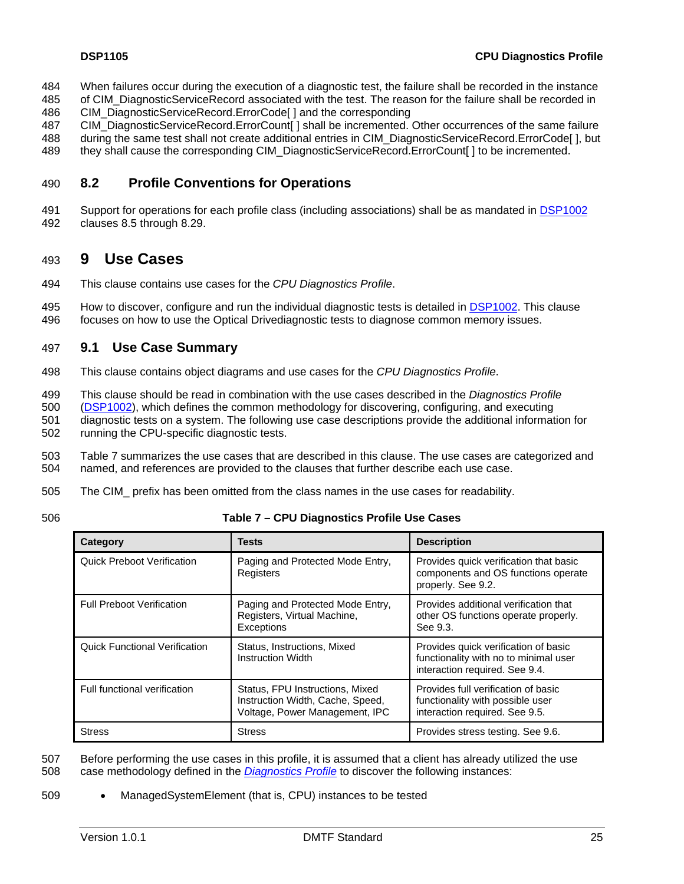- <span id="page-24-0"></span>When failures occur during the execution of a diagnostic test, the failure shall be recorded in the instance 484
- of CIM\_DiagnosticServiceRecord associated with the test. The reason for the failure shall be recorded in 485
- CIM\_DiagnosticServiceRecord.ErrorCode[ ] and the corresponding 486
- CIM\_DiagnosticServiceRecord.ErrorCount[ ] shall be incremented. Other occurrences of the same failure 487
- during the same test shall not create additional entries in CIM\_DiagnosticServiceRecord.ErrorCode[ ], but 488
- they shall cause the corresponding CIM\_DiagnosticServiceRecord.ErrorCount[ ] to be incremented. 489

#### 490 **8.2 Profile Conventions for Operations**

Support for operations for each profile class (including associations) shall be as mandated in [DSP1002](#page-6-0) clauses 8.5 through 8.29. 491 492

## 493 **9 Use Cases**

- 494 This clause contains use cases for the *CPU Diagnostics Profile*.
- How to discover, configure and run the individual diagnostic tests is detailed in **DSP1002**. This clause focuses on how to use the Optical Drivediagnostic tests to diagnose common memory issues. 495 496

#### 497 **9.1 Use Case Summary**

- 498 This clause contains object diagrams and use cases for the *CPU Diagnostics Profile*.
- 499 This clause should be read in combination with the use cases described in the *Diagnostics Profile* [\(DSP1002](#page-6-0)), which defines the common methodology for discovering, configuring, and executing diagnostic tests on a system. The following use case descriptions provide the additional information for 500 501
- running the CPU-specific diagnostic tests. 502
- 503 504 [Table 7](#page-24-1) summarizes the use cases that are described in this clause. The use cases are categorized and named, and references are provided to the clauses that further describe each use case.
- 505 The CIM prefix has been omitted from the class names in the use cases for readability.
- <span id="page-24-1"></span>506

#### **Table 7 – CPU Diagnostics Profile Use Cases**

| Category                             | <b>Tests</b>                                                                                          | <b>Description</b>                                                                                              |
|--------------------------------------|-------------------------------------------------------------------------------------------------------|-----------------------------------------------------------------------------------------------------------------|
| <b>Quick Preboot Verification</b>    | Paging and Protected Mode Entry,<br>Registers                                                         | Provides quick verification that basic<br>components and OS functions operate<br>properly. See 9.2.             |
| <b>Full Preboot Verification</b>     | Paging and Protected Mode Entry,<br>Registers, Virtual Machine,<br>Exceptions                         | Provides additional verification that<br>other OS functions operate properly.<br>See 9.3.                       |
| <b>Quick Functional Verification</b> | Status, Instructions, Mixed<br><b>Instruction Width</b>                                               | Provides quick verification of basic<br>functionality with no to minimal user<br>interaction required. See 9.4. |
| Full functional verification         | Status, FPU Instructions, Mixed<br>Instruction Width, Cache, Speed,<br>Voltage, Power Management, IPC | Provides full verification of basic<br>functionality with possible user<br>interaction required. See 9.5.       |
| <b>Stress</b>                        | <b>Stress</b>                                                                                         | Provides stress testing. See 9.6.                                                                               |

Before performing the use cases in this profile, it is assumed that a client has already utilized the use 508 case methodology defined in the *[Diagnostics Profile](#page-6-0)* to discover the following instances: 507

509 • ManagedSystemElement (that is, CPU) instances to be tested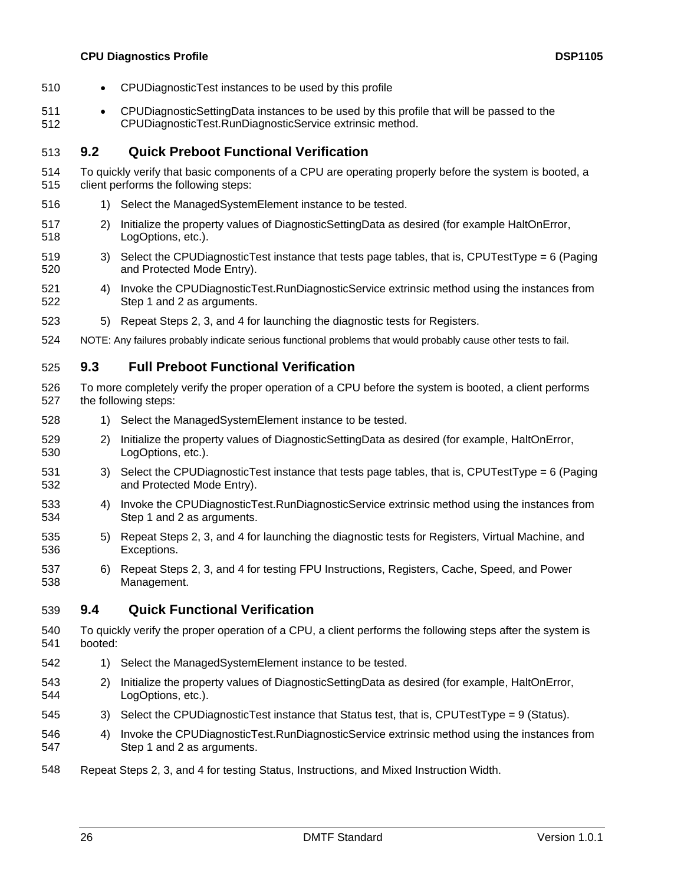- <span id="page-25-0"></span>510 • CPUDiagnosticTest instances to be used by this profile
- 511 512 • CPUDiagnosticSettingData instances to be used by this profile that will be passed to the CPUDiagnosticTest.RunDiagnosticService extrinsic method.

#### <span id="page-25-1"></span>513 **9.2 Quick Preboot Functional Verification**

- 514 515 To quickly verify that basic components of a CPU are operating properly before the system is booted, a client performs the following steps:
- 516 1) Select the ManagedSystemElement instance to be tested.
- 517 518 2) Initialize the property values of DiagnosticSettingData as desired (for example HaltOnError, LogOptions, etc.).
- 519 520 3) Select the CPUDiagnosticTest instance that tests page tables, that is, CPUTestType =  $6$  (Paging and Protected Mode Entry).
- 521 522 4) Invoke the CPUDiagnosticTest.RunDiagnosticService extrinsic method using the instances from Step 1 and 2 as arguments.
- 523 5) Repeat Steps 2, 3, and 4 for launching the diagnostic tests for Registers.
- 524 NOTE: Any failures probably indicate serious functional problems that would probably cause other tests to fail.

#### <span id="page-25-2"></span>525 **9.3 Full Preboot Functional Verification**

- 526 527 To more completely verify the proper operation of a CPU before the system is booted, a client performs the following steps:
- 528 1) Select the ManagedSystemElement instance to be tested.
- 529 530 2) Initialize the property values of DiagnosticSettingData as desired (for example, HaltOnError, LogOptions, etc.).
- 531 532 3) Select the CPUDiagnosticTest instance that tests page tables, that is, CPUTestType = 6 (Paging and Protected Mode Entry).
- 533 534 4) Invoke the CPUDiagnosticTest.RunDiagnosticService extrinsic method using the instances from Step 1 and 2 as arguments.
- 535 536 5) Repeat Steps 2, 3, and 4 for launching the diagnostic tests for Registers, Virtual Machine, and Exceptions.
- 537 538 6) Repeat Steps 2, 3, and 4 for testing FPU Instructions, Registers, Cache, Speed, and Power Management.
- <span id="page-25-3"></span>539 **9.4 Quick Functional Verification**
- 540 541 To quickly verify the proper operation of a CPU, a client performs the following steps after the system is booted:
- 542 1) Select the ManagedSystemElement instance to be tested.
- 543 544 2) Initialize the property values of DiagnosticSettingData as desired (for example, HaltOnError, LogOptions, etc.).
- 545 3) Select the CPUDiagnosticTest instance that Status test, that is, CPUTestType = 9 (Status).
- 546 547 4) Invoke the CPUDiagnosticTest.RunDiagnosticService extrinsic method using the instances from Step 1 and 2 as arguments.
- 548 Repeat Steps 2, 3, and 4 for testing Status, Instructions, and Mixed Instruction Width.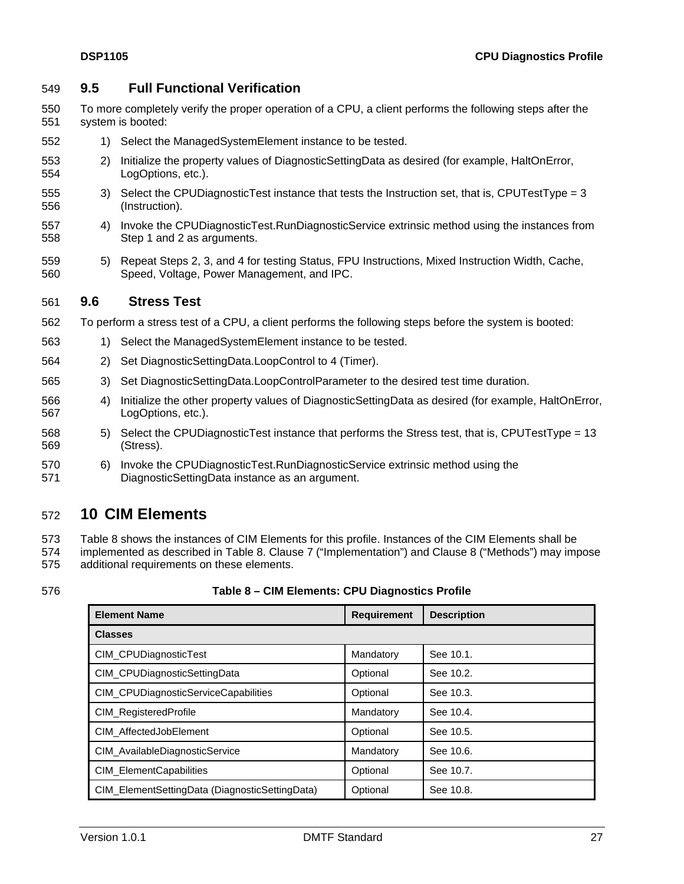#### <span id="page-26-1"></span><span id="page-26-0"></span>549 **9.5 Full Functional Verification**

- To more completely verify the proper operation of a CPU, a client performs the following steps after the system is booted: 550 551
- 552 1) Select the ManagedSystemElement instance to be tested.
- 553 554 2) Initialize the property values of DiagnosticSettingData as desired (for example, HaltOnError, LogOptions, etc.).
- 555 556 3) Select the CPUDiagnosticTest instance that tests the Instruction set, that is, CPUTestType = 3 (Instruction).
- 557 558 4) Invoke the CPUDiagnosticTest.RunDiagnosticService extrinsic method using the instances from Step 1 and 2 as arguments.
- 559 560 5) Repeat Steps 2, 3, and 4 for testing Status, FPU Instructions, Mixed Instruction Width, Cache, Speed, Voltage, Power Management, and IPC.

#### <span id="page-26-2"></span>561 **9.6 Stress Test**

- 562 To perform a stress test of a CPU, a client performs the following steps before the system is booted:
- 563 1) Select the ManagedSystemElement instance to be tested.
- 564 2) Set DiagnosticSettingData.LoopControl to 4 (Timer).
- 565 3) Set DiagnosticSettingData.LoopControlParameter to the desired test time duration.
- 566 567 4) Initialize the other property values of DiagnosticSettingData as desired (for example, HaltOnError, LogOptions, etc.).
- 568 569 5) Select the CPUDiagnosticTest instance that performs the Stress test, that is, CPUTestType = 13 (Stress).
- 570 571 6) Invoke the CPUDiagnosticTest.RunDiagnosticService extrinsic method using the DiagnosticSettingData instance as an argument.

## 572 **10 CIM Elements**

573 [Table 8](#page-26-3) shows the instances of CIM Elements for this profile. Instances of the CIM Elements shall be

574 575 implemented as described in [Table 8](#page-26-3). Clause [7](#page-12-1) ("Implementation") and Clause [8](#page-23-1) ("Methods") may impose additional requirements on these elements.

<span id="page-26-3"></span>576

#### **Table 8 – CIM Elements: CPU Diagnostics Profile**

| <b>Element Name</b>                            | <b>Requirement</b> | <b>Description</b> |
|------------------------------------------------|--------------------|--------------------|
| <b>Classes</b>                                 |                    |                    |
| CIM_CPUDiagnosticTest                          | Mandatory          | See 10.1.          |
| CIM CPUDiagnosticSettingData                   | Optional           | See 10.2.          |
| CIM_CPUDiagnosticServiceCapabilities           | Optional           | See 10.3.          |
| CIM_RegisteredProfile                          | Mandatory          | See 10.4.          |
| CIM AffectedJobElement                         | Optional           | See 10.5.          |
| CIM AvailableDiagnosticService                 | Mandatory          | See 10.6.          |
| <b>CIM ElementCapabilities</b>                 | Optional           | See 10.7.          |
| CIM_ElementSettingData (DiagnosticSettingData) | Optional           | See 10.8.          |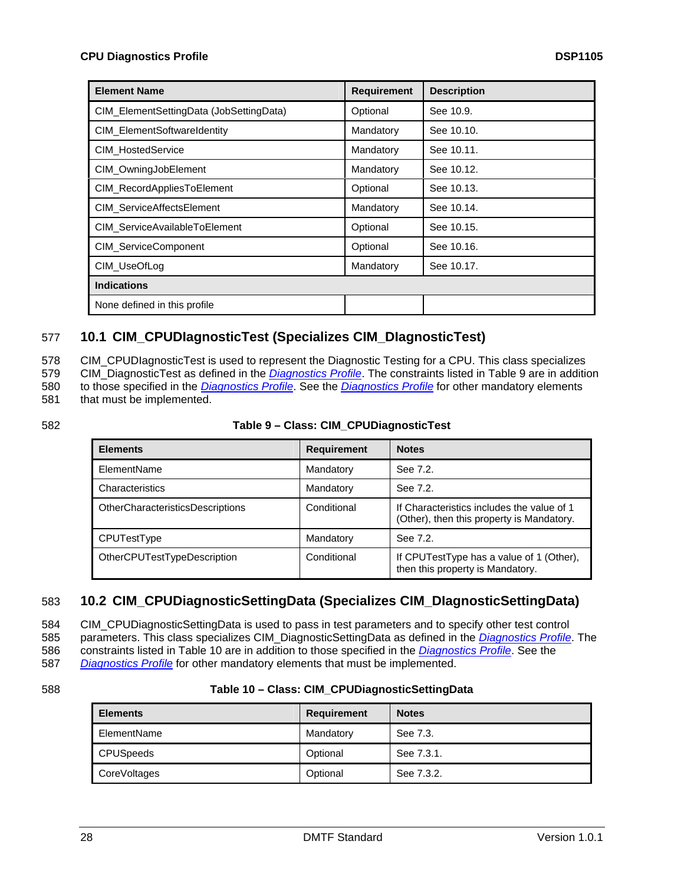<span id="page-27-0"></span>

| <b>Element Name</b>                     | <b>Requirement</b> | <b>Description</b> |
|-----------------------------------------|--------------------|--------------------|
| CIM_ElementSettingData (JobSettingData) | Optional           | See 10.9.          |
| CIM_ElementSoftwareIdentity             | Mandatory          | See 10.10.         |
| CIM_HostedService                       | Mandatory          | See 10.11.         |
| CIM_OwningJobElement                    | Mandatory          | See 10.12.         |
| CIM_RecordAppliesToElement              | Optional           | See 10.13.         |
| <b>CIM ServiceAffectsElement</b>        | Mandatory          | See 10.14.         |
| CIM ServiceAvailableToElement           | Optional           | See 10.15.         |
| CIM_ServiceComponent                    | Optional           | See 10.16.         |
| CIM UseOfLog                            | Mandatory          | See 10.17.         |
| <b>Indications</b>                      |                    |                    |
| None defined in this profile            |                    |                    |

#### <span id="page-27-1"></span>577 **10.1 CIM\_CPUDIagnosticTest (Specializes CIM\_DIagnosticTest)**

CIM\_CPUDIagnosticTest is used to represent the Diagnostic Testing for a CPU. This class specializes 578

CIM\_DiagnosticTest as defined in the *[Diagnostics Profile](#page-6-0)*. The constraints listed in [Table 9](#page-27-3) are in addition 579

to those specified in the *[Diagnostics Profile](#page-6-0)*. See the *[Diagnostics Profile](#page-6-0)* for other mandatory elements 580

that must be implemented. 581

#### <span id="page-27-3"></span>582 **Table 9 – Class: CIM\_CPUDiagnosticTest**

| <b>Elements</b>                         | <b>Requirement</b> | <b>Notes</b>                                                                            |
|-----------------------------------------|--------------------|-----------------------------------------------------------------------------------------|
| ElementName                             | Mandatory          | See 7.2.                                                                                |
| Characteristics                         | Mandatory          | See 7.2.                                                                                |
| <b>OtherCharacteristicsDescriptions</b> | Conditional        | If Characteristics includes the value of 1<br>(Other), then this property is Mandatory. |
| <b>CPUTestType</b>                      | Mandatory          | See 7.2.                                                                                |
| <b>OtherCPUTestTypeDescription</b>      | Conditional        | If CPUTestType has a value of 1 (Other),<br>then this property is Mandatory.            |

## <span id="page-27-2"></span>583 **10.2 CIM\_CPUDiagnosticSettingData (Specializes CIM\_DIagnosticSettingData)**

CIM\_CPUDiagnosticSettingData is used to pass in test parameters and to specify other test control 584

parameters. This class specializes CIM\_DiagnosticSettingData as defined in the *[Diagnostics Profile](#page-6-0)*. The 585

586 constraints listed in [Table 10](#page-27-4) are in addition to those specified in the *[Diagnostics Profile](#page-6-0)*. See the

587 *[Diagnostics Profile](#page-6-0)* for other mandatory elements that must be implemented.

#### <span id="page-27-4"></span>588 **Table 10 – Class: CIM\_CPUDiagnosticSettingData**

| <b>Elements</b>  | <b>Requirement</b> | <b>Notes</b> |
|------------------|--------------------|--------------|
| ElementName      | Mandatory          | See 7.3.     |
| <b>CPUSpeeds</b> | Optional           | See 7.3.1.   |
| CoreVoltages     | Optional           | See 7.3.2.   |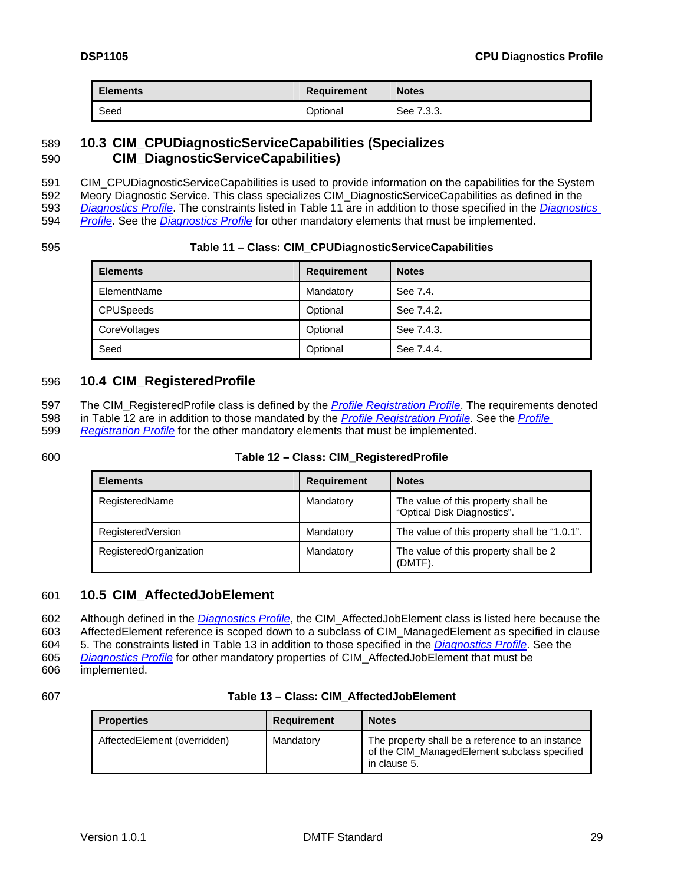<span id="page-28-0"></span>

| <b>Elements</b> | <b>Requirement</b> | <b>Notes</b> |
|-----------------|--------------------|--------------|
| Seed            | Optional           | See 7.3.3.   |

#### <span id="page-28-1"></span>589 **10.3 CIM\_CPUDiagnosticServiceCapabilities (Specializes**  590 **CIM\_DiagnosticServiceCapabilities)**

591 592 CIM\_CPUDiagnosticServiceCapabilities is used to provide information on the capabilities for the System Meory Diagnostic Service. This class specializes CIM\_DiagnosticServiceCapabilities as defined in the 593 *[Diagnostics Profile](#page-6-0)*. The constraints listed in [Table 11](#page-28-4) are in addition to those specified in the *[Diagnostics](#page-6-0)*  594 *[Profile](#page-6-0)*. See the *[Diagnostics Profile](#page-6-0)* for other mandatory elements that must be implemented.

#### <span id="page-28-4"></span>595 **Table 11 – Class: CIM\_CPUDiagnosticServiceCapabilities**

| <b>Elements</b> | <b>Requirement</b> | <b>Notes</b> |
|-----------------|--------------------|--------------|
| ElementName     | Mandatory          | See 7.4.     |
| CPUSpeeds       | Optional           | See 7.4.2.   |
| CoreVoltages    | Optional           | See 7.4.3.   |
| Seed            | Optional           | See 7.4.4.   |

#### <span id="page-28-2"></span>596 **10.4 CIM\_RegisteredProfile**

The CIM\_RegisteredProfile class is defined by the *[Profile Registration Profile](#page-6-0)*. The requirements denoted 597

598 in [Table 12](#page-28-5) are in addition to those mandated by the *[Profile Registration Profile](#page-6-0)*. See the *Profile* 

599 *[Registration Profile](#page-6-0)* for the other mandatory elements that must be implemented.

#### <span id="page-28-5"></span>600 **Table 12 – Class: CIM\_RegisteredProfile**

| <b>Elements</b>        | <b>Requirement</b> | <b>Notes</b>                                                       |
|------------------------|--------------------|--------------------------------------------------------------------|
| RegisteredName         | Mandatory          | The value of this property shall be<br>"Optical Disk Diagnostics". |
| RegisteredVersion      | Mandatory          | The value of this property shall be "1.0.1".                       |
| RegisteredOrganization | Mandatory          | The value of this property shall be 2<br>(DMTF).                   |

#### <span id="page-28-3"></span>601 **10.5 CIM\_AffectedJobElement**

Although defined in the *[Diagnostics Profile](#page-6-0)*, the CIM\_AffectedJobElement class is listed here because the AffectedElement reference is scoped down to a subclass of CIM\_ManagedElement as specified in clause 602 603 604 [5.](#page-9-2) The constraints listed in [Table 13](#page-28-6) in addition to those specified in the *[Diagnostics Profile](#page-6-0)*. See the *[Diagnostics Profile](#page-6-0)* for other mandatory properties of CIM\_AffectedJobElement that must be 605

implemented. 606

#### <span id="page-28-6"></span>607 **Table 13 – Class: CIM\_AffectedJobElement**

| <b>Properties</b>            | Requirement | <b>Notes</b>                                                                                                      |
|------------------------------|-------------|-------------------------------------------------------------------------------------------------------------------|
| AffectedElement (overridden) | Mandatory   | The property shall be a reference to an instance<br>of the CIM Managed Element subclass specified<br>in clause 5. |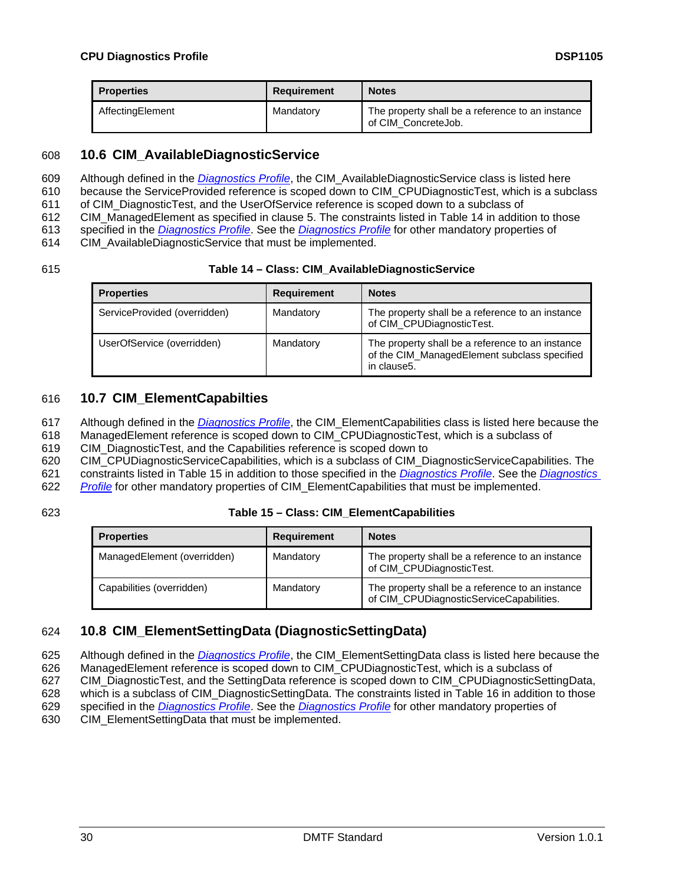<span id="page-29-0"></span>

| l Properties     | Requirement | <b>Notes</b>                                                            |
|------------------|-------------|-------------------------------------------------------------------------|
| AffectingElement | Mandatory   | The property shall be a reference to an instance<br>of CIM ConcreteJob. |

#### <span id="page-29-1"></span>608 **10.6 CIM\_AvailableDiagnosticService**

Although defined in the *[Diagnostics Profile](#page-6-0)*, the CIM\_AvailableDiagnosticService class is listed here 609

because the ServiceProvided reference is scoped down to CIM\_CPUDiagnosticTest, which is a subclass 610

of CIM\_DiagnosticTest, and the UserOfService reference is scoped down to a subclass of 611

612 CIM\_ManagedElement as specified in clause [5](#page-9-2). The constraints listed in [Table 14](#page-29-4) in addition to those

specified in the *[Diagnostics Profile](#page-6-0)*. See the *[Diagnostics Profile](#page-6-0)* for other mandatory properties of 613

CIM\_AvailableDiagnosticService that must be implemented. 614

<span id="page-29-4"></span>

| 615 |  | Table 14 - Class: CIM_AvailableDiagnosticService |
|-----|--|--------------------------------------------------|
|-----|--|--------------------------------------------------|

| <b>Properties</b>            | <b>Requirement</b> | <b>Notes</b>                                                                                                                 |
|------------------------------|--------------------|------------------------------------------------------------------------------------------------------------------------------|
| ServiceProvided (overridden) | Mandatory          | The property shall be a reference to an instance<br>of CIM_CPUDiagnosticTest.                                                |
| UserOfService (overridden)   | Mandatory          | The property shall be a reference to an instance<br>of the CIM_ManagedElement subclass specified<br>in clause <sub>5</sub> . |

#### <span id="page-29-2"></span>616 **10.7 CIM\_ElementCapabilties**

Although defined in the *[Diagnostics Profile](#page-6-0)*, the CIM\_ElementCapabilities class is listed here because the 617

ManagedElement reference is scoped down to CIM\_CPUDiagnosticTest, which is a subclass of 618

CIM\_DiagnosticTest, and the Capabilities reference is scoped down to 619

CIM\_CPUDiagnosticServiceCapabilities, which is a subclass of CIM\_DiagnosticServiceCapabilities. The 620

621 constraints listed in [Table 15](#page-29-5) in addition to those specified in the *[Diagnostics Profile](#page-6-0)*. See the *Diagnostics* 

622 *[Profile](#page-6-0)* for other mandatory properties of CIM\_ElementCapabilities that must be implemented.

<span id="page-29-5"></span>

#### 623 **Table 15 – Class: CIM\_ElementCapabilities**

| <b>Properties</b>           | Requirement | <b>Notes</b>                                                                                 |
|-----------------------------|-------------|----------------------------------------------------------------------------------------------|
| ManagedElement (overridden) | Mandatory   | The property shall be a reference to an instance<br>of CIM_CPUDiagnosticTest.                |
| Capabilities (overridden)   | Mandatory   | The property shall be a reference to an instance<br>of CIM_CPUDiagnosticServiceCapabilities. |

## <span id="page-29-3"></span>624 **10.8 CIM\_ElementSettingData (DiagnosticSettingData)**

Although defined in the *[Diagnostics Profile](#page-6-0)*, the CIM\_ElementSettingData class is listed here because the 625

ManagedElement reference is scoped down to CIM\_CPUDiagnosticTest, which is a subclass of 626

CIM\_DiagnosticTest, and the SettingData reference is scoped down to CIM\_CPUDiagnosticSettingData, 627

628 which is a subclass of CIM\_DiagnosticSettingData. The constraints listed in [Table 16](#page-30-4) in addition to those

specified in the *[Diagnostics Profile](#page-6-0)*. See the *[Diagnostics Profile](#page-6-0)* for other mandatory properties of 629

CIM\_ElementSettingData that must be implemented. 630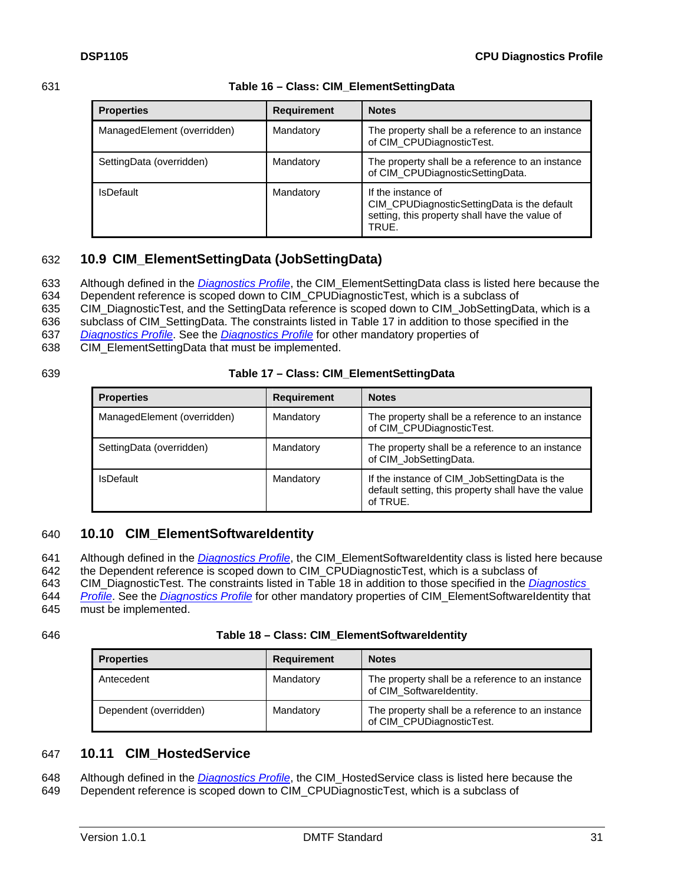<span id="page-30-4"></span><span id="page-30-0"></span>

| 631 | Table 16 – Class: CIM ElementSettingData |
|-----|------------------------------------------|
|-----|------------------------------------------|

| <b>Properties</b>           | <b>Requirement</b> | <b>Notes</b>                                                                                                                 |
|-----------------------------|--------------------|------------------------------------------------------------------------------------------------------------------------------|
| ManagedElement (overridden) | Mandatory          | The property shall be a reference to an instance<br>of CIM_CPUDiagnosticTest.                                                |
| SettingData (overridden)    | Mandatory          | The property shall be a reference to an instance<br>of CIM_CPUDiagnosticSettingData.                                         |
| <b>IsDefault</b>            | Mandatory          | If the instance of<br>CIM_CPUDiagnosticSettingData is the default<br>setting, this property shall have the value of<br>TRUE. |

#### <span id="page-30-1"></span>632 **10.9 CIM\_ElementSettingData (JobSettingData)**

- Although defined in the *[Diagnostics Profile](#page-6-0)*, the CIM\_ElementSettingData class is listed here because the 633
- Dependent reference is scoped down to CIM\_CPUDiagnosticTest, which is a subclass of 634
- CIM\_DiagnosticTest, and the SettingData reference is scoped down to CIM\_JobSettingData, which is a 635
- 636 subclass of CIM\_SettingData. The constraints listed in [Table 17](#page-30-5) in addition to those specified in the
- *[Diagnostics Profile](#page-6-0)*. See the *[Diagnostics Profile](#page-6-0)* for other mandatory properties of 637
- CIM\_ElementSettingData that must be implemented. 638

<span id="page-30-5"></span>

#### 639 **Table 17 – Class: CIM\_ElementSettingData**

| <b>Properties</b>           | <b>Requirement</b> | <b>Notes</b>                                                                                                    |
|-----------------------------|--------------------|-----------------------------------------------------------------------------------------------------------------|
| ManagedElement (overridden) | Mandatory          | The property shall be a reference to an instance<br>of CIM_CPUDiagnosticTest.                                   |
| SettingData (overridden)    | Mandatory          | The property shall be a reference to an instance<br>of CIM_JobSettingData.                                      |
| <b>IsDefault</b>            | Mandatory          | If the instance of CIM_JobSettingData is the<br>default setting, this property shall have the value<br>of TRUE. |

#### <span id="page-30-2"></span>640 **10.10 CIM\_ElementSoftwareIdentity**

- Although defined in the *[Diagnostics Profile](#page-6-0)*, the CIM\_ElementSoftwareIdentity class is listed here because 641
- the Dependent reference is scoped down to CIM\_CPUDiagnosticTest, which is a subclass of 642
- 643 CIM\_DiagnosticTest. The constraints listed in [Table 18](#page-30-6) in addition to those specified in the *Diagnostics*
- *[Profile](#page-6-0)*. See the *[Diagnostics Profile](#page-6-0)* for other mandatory properties of CIM\_ElementSoftwareIdentity that 644

must be implemented. 645

<span id="page-30-6"></span>

| 646 | Table 18 – Class: CIM ElementSoftwareIdentity |
|-----|-----------------------------------------------|
|-----|-----------------------------------------------|

| <b>Properties</b>      | <b>Requirement</b> | <b>Notes</b>                                                                  |
|------------------------|--------------------|-------------------------------------------------------------------------------|
| Antecedent             | Mandatory          | The property shall be a reference to an instance<br>of CIM_SoftwareIdentity.  |
| Dependent (overridden) | Mandatory          | The property shall be a reference to an instance<br>of CIM_CPUDiagnosticTest. |

#### <span id="page-30-3"></span>647 **10.11 CIM\_HostedService**

Although defined in the *[Diagnostics Profile](#page-6-0)*, the CIM\_HostedService class is listed here because the Dependent reference is scoped down to CIM\_CPUDiagnosticTest, which is a subclass of 648 649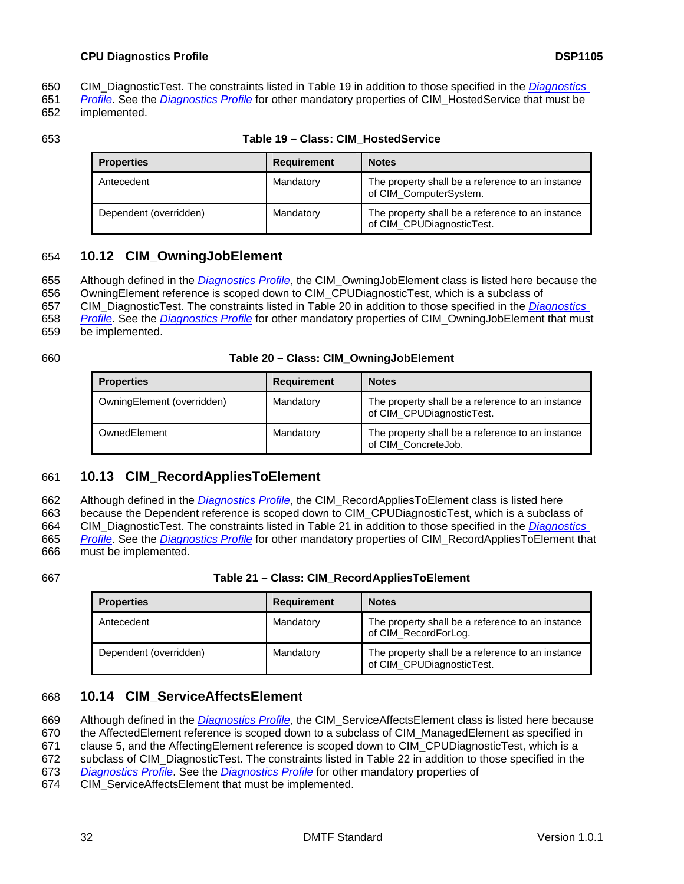- <span id="page-31-0"></span>650 CIM\_DiagnosticTest. The constraints listed in [Table 19](#page-31-4) in addition to those specified in the *[Diagnostics](#page-6-0)*
- *[Profile](#page-6-0)*. See the *[Diagnostics Profile](#page-6-0)* for other mandatory properties of CIM\_HostedService that must be 651

implemented. 652

#### <span id="page-31-4"></span>653 **Table 19 – Class: CIM\_HostedService**

| <b>Properties</b>      | <b>Requirement</b> | <b>Notes</b>                                                                  |
|------------------------|--------------------|-------------------------------------------------------------------------------|
| Antecedent             | Mandatory          | The property shall be a reference to an instance<br>of CIM_ComputerSystem.    |
| Dependent (overridden) | Mandatory          | The property shall be a reference to an instance<br>of CIM_CPUDiagnosticTest. |

#### <span id="page-31-1"></span>654 **10.12 CIM\_OwningJobElement**

Although defined in the *[Diagnostics Profile](#page-6-0)*, the CIM\_OwningJobElement class is listed here because the 655 656

OwningElement reference is scoped down to CIM\_CPUDiagnosticTest, which is a subclass of

- 657 CIM\_DiagnosticTest. The constraints listed in [Table 20](#page-31-5) in addition to those specified in the *Diagnostics*
- *[Profile](#page-6-0)*. See the *[Diagnostics Profile](#page-6-0)* for other mandatory properties of CIM\_OwningJobElement that must 658
- be implemented. 659

#### <span id="page-31-5"></span>660 **Table 20 – Class: CIM\_OwningJobElement**

| <b>Properties</b>          | <b>Requirement</b> | <b>Notes</b>                                                                  |
|----------------------------|--------------------|-------------------------------------------------------------------------------|
| OwningElement (overridden) | Mandatory          | The property shall be a reference to an instance<br>of CIM_CPUDiagnosticTest. |
| OwnedElement               | Mandatory          | The property shall be a reference to an instance<br>of CIM_ConcreteJob.       |

#### <span id="page-31-2"></span>661 **10.13 CIM\_RecordAppliesToElement**

Although defined in the *[Diagnostics Profile](#page-6-0)*, the CIM\_RecordAppliesToElement class is listed here 662

because the Dependent reference is scoped down to CIM\_CPUDiagnosticTest, which is a subclass of 663

664 CIM\_DiagnosticTest. The constraints listed in [Table 21](#page-31-6) in addition to those specified in the *Diagnostics [Profile](#page-6-0)*. See the *[Diagnostics Profile](#page-6-0)* for other mandatory properties of CIM\_RecordAppliesToElement that 665

must be implemented. 666

<span id="page-31-6"></span>

| Table 21 - Class: CIM_RecordAppliesToElement |
|----------------------------------------------|
|                                              |

| <b>Properties</b>      | Requirement | <b>Notes</b>                                                                  |
|------------------------|-------------|-------------------------------------------------------------------------------|
| Antecedent             | Mandatory   | The property shall be a reference to an instance<br>of CIM_RecordForLog.      |
| Dependent (overridden) | Mandatory   | The property shall be a reference to an instance<br>of CIM CPUDiagnosticTest. |

#### <span id="page-31-3"></span>668 **10.14 CIM\_ServiceAffectsElement**

Although defined in the *[Diagnostics Profile](#page-6-0)*, the CIM\_ServiceAffectsElement class is listed here because 669

the AffectedElement reference is scoped down to a subclass of CIM\_ManagedElement as specified in 670

clause [5](#page-9-2), and the AffectingElement reference is scoped down to CIM\_CPUDiagnosticTest, which is a 671

672 subclass of CIM\_DiagnosticTest. The constraints listed in [Table 22](#page-32-4) in addition to those specified in the

*[Diagnostics Profile](#page-6-0)*. See the *[Diagnostics Profile](#page-6-0)* for other mandatory properties of 673

CIM\_ServiceAffectsElement that must be implemented. 674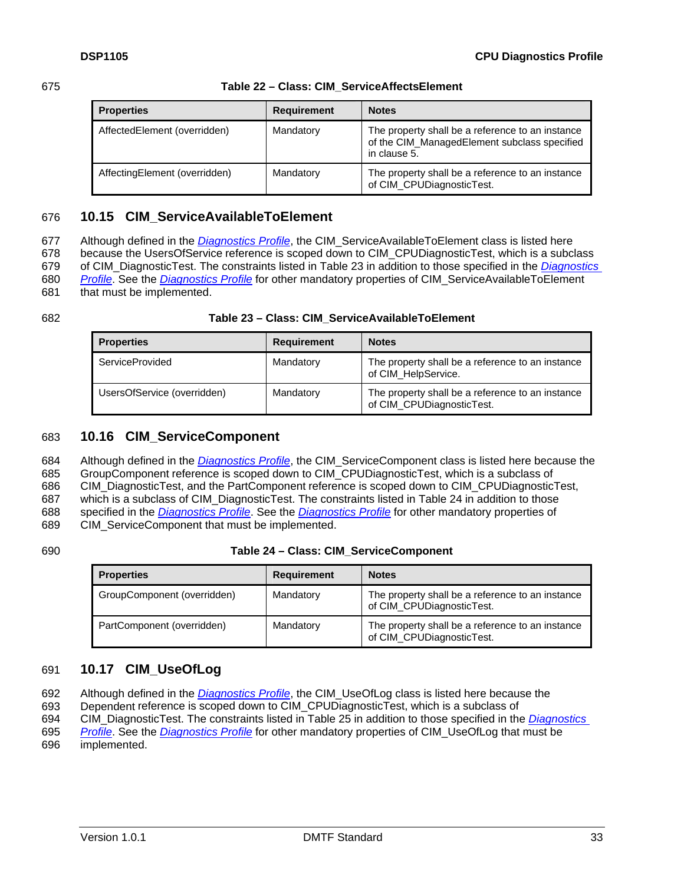<span id="page-32-4"></span><span id="page-32-0"></span>

| 675 | Table 22 – Class: CIM ServiceAffectsElement |
|-----|---------------------------------------------|
|-----|---------------------------------------------|

| <b>Properties</b>             | <b>Requirement</b> | <b>Notes</b>                                                                                                     |
|-------------------------------|--------------------|------------------------------------------------------------------------------------------------------------------|
| AffectedElement (overridden)  | Mandatory          | The property shall be a reference to an instance<br>of the CIM_ManagedElement subclass specified<br>in clause 5. |
| AffectingElement (overridden) | Mandatory          | The property shall be a reference to an instance<br>of CIM CPUDiagnosticTest.                                    |

#### <span id="page-32-1"></span>676 **10.15 CIM\_ServiceAvailableToElement**

Although defined in the *[Diagnostics Profile](#page-6-0)*, the CIM\_ServiceAvailableToElement class is listed here because the UsersOfService reference is scoped down to CIM\_CPUDiagnosticTest, which is a subclass 679 of CIM\_DiagnosticTest. The constraints listed in [Table 23](#page-32-5) in addition to those specified in the *Diagnostics* 677 678 *[Profile](#page-6-0)*. See the *[Diagnostics Profile](#page-6-0)* for other mandatory properties of CIM\_ServiceAvailableToElement that must be implemented. 680 681

<span id="page-32-5"></span>

| 682 | Table 23 – Class: CIM ServiceAvailableToElement |
|-----|-------------------------------------------------|
|     |                                                 |

| <b>Properties</b>           | <b>Requirement</b> | <b>Notes</b>                                                                  |
|-----------------------------|--------------------|-------------------------------------------------------------------------------|
| ServiceProvided             | Mandatory          | The property shall be a reference to an instance<br>of CIM HelpService.       |
| UsersOfService (overridden) | Mandatory          | The property shall be a reference to an instance<br>of CIM_CPUDiagnosticTest. |

#### <span id="page-32-2"></span>683 **10.16 CIM\_ServiceComponent**

Although defined in the *[Diagnostics Profile](#page-6-0)*, the CIM\_ServiceComponent class is listed here because the GroupComponent reference is scoped down to CIM\_CPUDiagnosticTest, which is a subclass of CIM\_DiagnosticTest, and the PartComponent reference is scoped down to CIM\_CPUDiagnosticTest, 687 which is a subclass of CIM\_DiagnosticTest. The constraints listed in [Table 24](#page-32-6) in addition to those 684 685 686 specified in the *[Diagnostics Profile](#page-6-0)*. See the *[Diagnostics Profile](#page-6-0)* for other mandatory properties of CIM\_ServiceComponent that must be implemented. 688 689

#### <span id="page-32-6"></span>690 **Table 24 – Class: CIM\_ServiceComponent**

| <b>Properties</b>           | <b>Requirement</b> | <b>Notes</b>                                                                  |
|-----------------------------|--------------------|-------------------------------------------------------------------------------|
| GroupComponent (overridden) | Mandatory          | The property shall be a reference to an instance<br>of CIM_CPUDiagnosticTest. |
| PartComponent (overridden)  | Mandatory          | The property shall be a reference to an instance<br>of CIM_CPUDiagnosticTest. |

#### <span id="page-32-3"></span>691 **10.17 CIM\_UseOfLog**

Although defined in the *[Diagnostics Profile](#page-6-0)*, the CIM\_UseOfLog class is listed here because the 692

Dependent reference is scoped down to CIM\_CPUDiagnosticTest, which is a subclass of 693

694 CIM\_DiagnosticTest. The constraints listed in [Table 25](#page-33-1) in addition to those specified in the *Diagnostics* 

*[Profile](#page-6-0)*. See the *[Diagnostics Profile](#page-6-0)* for other mandatory properties of CIM\_UseOfLog that must be 695

implemented. 696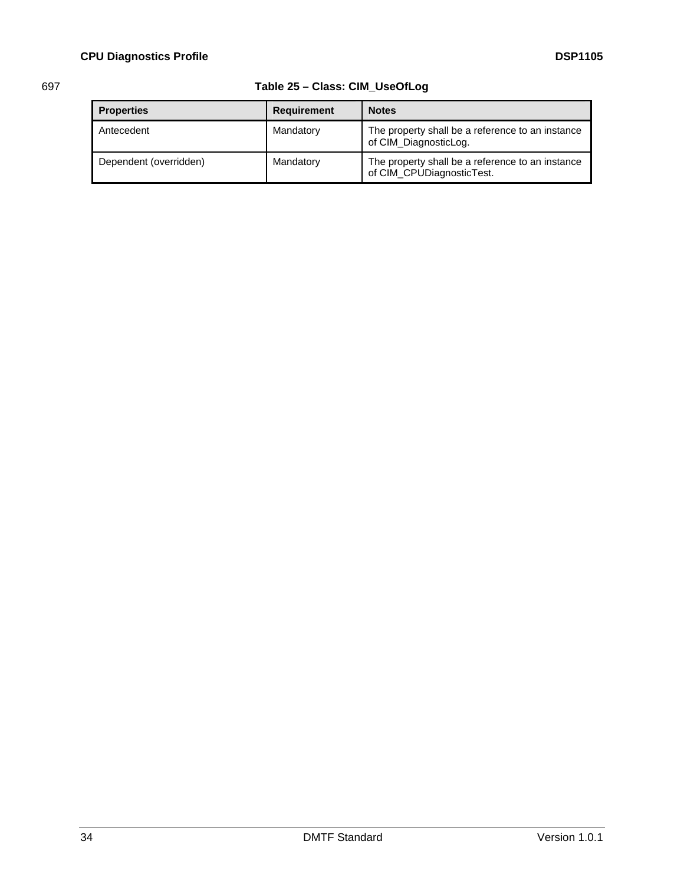#### <span id="page-33-1"></span><span id="page-33-0"></span>697 **Table 25 – Class: CIM\_UseOfLog**

| <b>Properties</b>      | <b>Requirement</b> | <b>Notes</b>                                                                  |
|------------------------|--------------------|-------------------------------------------------------------------------------|
| Antecedent             | Mandatory          | The property shall be a reference to an instance<br>of CIM_DiagnosticLog.     |
| Dependent (overridden) | Mandatory          | The property shall be a reference to an instance<br>of CIM_CPUDiagnosticTest. |